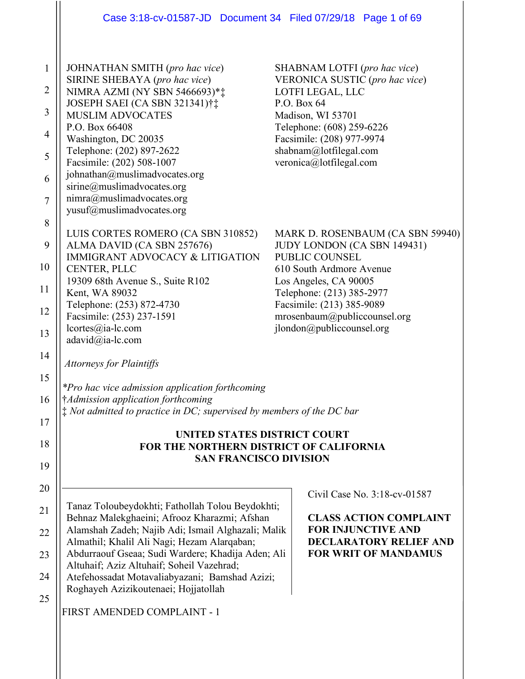|                                                              | Case 3:18-cv-01587-JD  Document 34  Filed 07/29/18  Page 1 of 69                                                                                                                                                                                                                                                                                                                                                                 |                                                                                                                                                                                                                                                               |
|--------------------------------------------------------------|----------------------------------------------------------------------------------------------------------------------------------------------------------------------------------------------------------------------------------------------------------------------------------------------------------------------------------------------------------------------------------------------------------------------------------|---------------------------------------------------------------------------------------------------------------------------------------------------------------------------------------------------------------------------------------------------------------|
| $\mathbf{1}$<br>2<br>3<br>4<br>5<br>6<br>$\overline{7}$<br>8 | JOHNATHAN SMITH (pro hac vice)<br>SIRINE SHEBAYA (pro hac vice)<br>NIMRA AZMI (NY SBN 5466693)**<br>JOSEPH SAEI (CA SBN 321341)†‡<br><b>MUSLIM ADVOCATES</b><br>P.O. Box 66408<br>Washington, DC 20035<br>Telephone: (202) 897-2622<br>Facsimile: (202) 508-1007<br>johnathan@muslimadvocates.org<br>sirine@muslimadvocates.org<br>nimra@muslimadvocates.org<br>yusuf@muslimadvocates.org                                        | SHABNAM LOTFI (pro hac vice)<br>VERONICA SUSTIC (pro hac vice)<br>LOTFI LEGAL, LLC<br>P.O. Box 64<br>Madison, WI 53701<br>Telephone: (608) 259-6226<br>Facsimile: (208) 977-9974<br>shabnam@lotfilegal.com<br>veronica@lotfilegal.com                         |
| 9<br>10<br>11<br>12<br>13                                    | LUIS CORTES ROMERO (CA SBN 310852)<br>ALMA DAVID (CA SBN 257676)<br><b>IMMIGRANT ADVOCACY &amp; LITIGATION</b><br>CENTER, PLLC<br>19309 68th Avenue S., Suite R102<br>Kent, WA 89032<br>Telephone: (253) 872-4730<br>Facsimile: (253) 237-1591<br>lcortes@ia-lc.com<br>adavid@ia-lc.com                                                                                                                                          | MARK D. ROSENBAUM (CA SBN 59940)<br>JUDY LONDON (CA SBN 149431)<br>PUBLIC COUNSEL<br>610 South Ardmore Avenue<br>Los Angeles, CA 90005<br>Telephone: (213) 385-2977<br>Facsimile: (213) 385-9089<br>mrosenbaum@publiccounsel.org<br>jlondon@publiccounsel.org |
| 14<br>15<br>16<br>17<br>18<br>19                             | <b>Attorneys for Plaintiffs</b><br>*Pro hac vice admission application forthcoming<br>†Admission application forthcoming<br>$\ddagger$ Not admitted to practice in DC; supervised by members of the DC bar<br>UNITED STATES DISTRICT COURT<br>FOR THE NORTHERN DISTRICT OF CALIFORNIA<br><b>SAN FRANCISCO DIVISION</b>                                                                                                           |                                                                                                                                                                                                                                                               |
| 20<br>21<br>22<br>23<br>24<br>25                             | Tanaz Toloubeydokhti; Fathollah Tolou Beydokhti;<br>Behnaz Malekghaeini; Afrooz Kharazmi; Afshan<br>Alamshah Zadeh; Najib Adi; Ismail Alghazali; Malik<br>Almathil; Khalil Ali Nagi; Hezam Alarqaban;<br>Abdurraouf Gseaa; Sudi Wardere; Khadija Aden; Ali<br>Altuhaif; Aziz Altuhaif; Soheil Vazehrad;<br>Atefehossadat Motavaliabyazani; Bamshad Azizi;<br>Roghayeh Azizikoutenaei; Hojjatollah<br>FIRST AMENDED COMPLAINT - 1 | Civil Case No. 3:18-cv-01587<br><b>CLASS ACTION COMPLAINT</b><br><b>FOR INJUNCTIVE AND</b><br><b>DECLARATORY RELIEF AND</b><br><b>FOR WRIT OF MANDAMUS</b>                                                                                                    |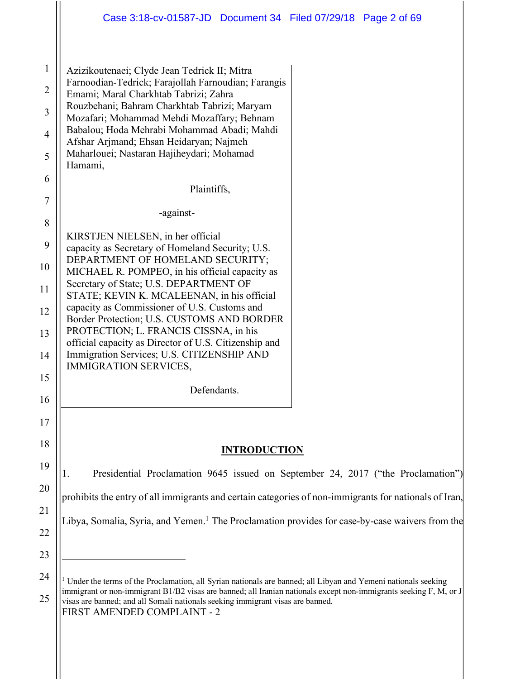| 1              | Azizikoutenaei; Clyde Jean Tedrick II; Mitra                                                                                                                                                                                       |
|----------------|------------------------------------------------------------------------------------------------------------------------------------------------------------------------------------------------------------------------------------|
| $\overline{2}$ | Farnoodian-Tedrick; Farajollah Farnoudian; Farangis<br>Emami; Maral Charkhtab Tabrizi; Zahra                                                                                                                                       |
| 3              | Rouzbehani; Bahram Charkhtab Tabrizi; Maryam                                                                                                                                                                                       |
|                | Mozafari; Mohammad Mehdi Mozaffary; Behnam<br>Babalou; Hoda Mehrabi Mohammad Abadi; Mahdi                                                                                                                                          |
| $\overline{4}$ | Afshar Arjmand; Ehsan Heidaryan; Najmeh                                                                                                                                                                                            |
| 5              | Maharlouei; Nastaran Hajiheydari; Mohamad<br>Hamami,                                                                                                                                                                               |
| 6              | Plaintiffs,                                                                                                                                                                                                                        |
| 7              |                                                                                                                                                                                                                                    |
| 8              | -against-                                                                                                                                                                                                                          |
| 9              | KIRSTJEN NIELSEN, in her official<br>capacity as Secretary of Homeland Security; U.S.                                                                                                                                              |
| 10             | DEPARTMENT OF HOMELAND SECURITY;<br>MICHAEL R. POMPEO, in his official capacity as<br>Secretary of State; U.S. DEPARTMENT OF                                                                                                       |
| 11             | STATE; KEVIN K. MCALEENAN, in his official                                                                                                                                                                                         |
| 12             | capacity as Commissioner of U.S. Customs and<br>Border Protection; U.S. CUSTOMS AND BORDER                                                                                                                                         |
| 13             | PROTECTION; L. FRANCIS CISSNA, in his<br>official capacity as Director of U.S. Citizenship and                                                                                                                                     |
| 14             | Immigration Services; U.S. CITIZENSHIP AND<br><b>IMMIGRATION SERVICES,</b>                                                                                                                                                         |
| 15             | Defendants.                                                                                                                                                                                                                        |
| 16             |                                                                                                                                                                                                                                    |
| 17             |                                                                                                                                                                                                                                    |
| 18             | <b>INTRODUCTION</b>                                                                                                                                                                                                                |
| 19             |                                                                                                                                                                                                                                    |
| 20             | Presidential Proclamation 9645 issued on September 24, 2017 ("the Proclamation")<br>1.                                                                                                                                             |
|                | prohibits the entry of all immigrants and certain categories of non-immigrants for nationals of Iran,                                                                                                                              |
| 21             | Libya, Somalia, Syria, and Yemen. <sup>1</sup> The Proclamation provides for case-by-case waivers from the                                                                                                                         |
| 22             |                                                                                                                                                                                                                                    |
| 23             |                                                                                                                                                                                                                                    |
| 24             | Under the terms of the Proclamation, all Syrian nationals are banned; all Libyan and Yemeni nationals seeking<br>immigrant or non-immigrant B1/B2 visas are banned; all Iranian nationals except non-immigrants seeking F, M, or J |
| 25             | visas are banned; and all Somali nationals seeking immigrant visas are banned.                                                                                                                                                     |

FIRST AMENDED COMPLAINT - 2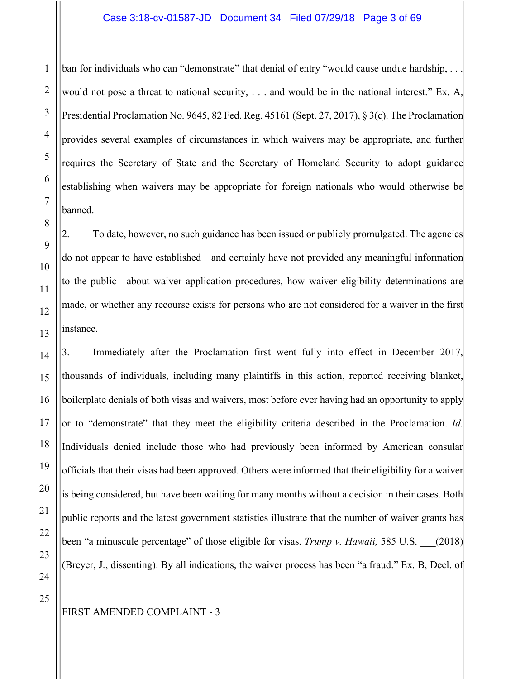#### Case 3:18-cv-01587-JD Document 34 Filed 07/29/18 Page 3 of 69

ban for individuals who can "demonstrate" that denial of entry "would cause undue hardship, ... would not pose a threat to national security, . . . and would be in the national interest." Ex. A, Presidential Proclamation No. 9645, 82 Fed. Reg. 45161 (Sept. 27, 2017), § 3(c). The Proclamation provides several examples of circumstances in which waivers may be appropriate, and further requires the Secretary of State and the Secretary of Homeland Security to adopt guidance establishing when waivers may be appropriate for foreign nationals who would otherwise be banned.

2. To date, however, no such guidance has been issued or publicly promulgated. The agencies do not appear to have established—and certainly have not provided any meaningful information to the public—about waiver application procedures, how waiver eligibility determinations are made, or whether any recourse exists for persons who are not considered for a waiver in the first instance.

3. Immediately after the Proclamation first went fully into effect in December 2017, thousands of individuals, including many plaintiffs in this action, reported receiving blanket, boilerplate denials of both visas and waivers, most before ever having had an opportunity to apply or to "demonstrate" that they meet the eligibility criteria described in the Proclamation. *Id.*  Individuals denied include those who had previously been informed by American consular officials that their visas had been approved. Others were informed that their eligibility for a waiver is being considered, but have been waiting for many months without a decision in their cases. Both public reports and the latest government statistics illustrate that the number of waiver grants has been "a minuscule percentage" of those eligible for visas. *Trump v. Hawaii,* 585 U.S. \_\_\_(2018) (Breyer, J., dissenting). By all indications, the waiver process has been "a fraud." Ex. B, Decl. of

1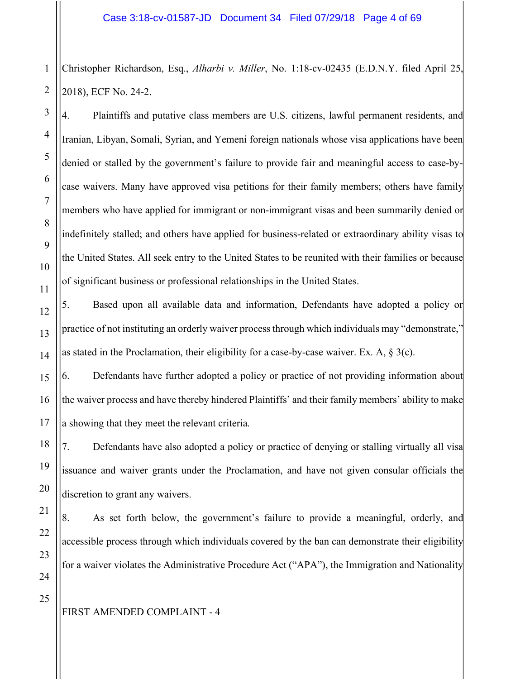1 2 Christopher Richardson, Esq., *Alharbi v. Miller*, No. 1:18-cv-02435 (E.D.N.Y. filed April 25, 2018), ECF No. 24-2.

4. Plaintiffs and putative class members are U.S. citizens, lawful permanent residents, and Iranian, Libyan, Somali, Syrian, and Yemeni foreign nationals whose visa applications have been denied or stalled by the government's failure to provide fair and meaningful access to case-bycase waivers. Many have approved visa petitions for their family members; others have family members who have applied for immigrant or non-immigrant visas and been summarily denied or indefinitely stalled; and others have applied for business-related or extraordinary ability visas to the United States. All seek entry to the United States to be reunited with their families or because of significant business or professional relationships in the United States.

5. Based upon all available data and information, Defendants have adopted a policy or practice of not instituting an orderly waiver process through which individuals may "demonstrate," as stated in the Proclamation, their eligibility for a case-by-case waiver. Ex. A,  $\S$  3(c).

6. Defendants have further adopted a policy or practice of not providing information about the waiver process and have thereby hindered Plaintiffs' and their family members' ability to make a showing that they meet the relevant criteria.

7. Defendants have also adopted a policy or practice of denying or stalling virtually all visa issuance and waiver grants under the Proclamation, and have not given consular officials the discretion to grant any waivers.

8. As set forth below, the government's failure to provide a meaningful, orderly, and accessible process through which individuals covered by the ban can demonstrate their eligibility for a waiver violates the Administrative Procedure Act ("APA"), the Immigration and Nationality

3

4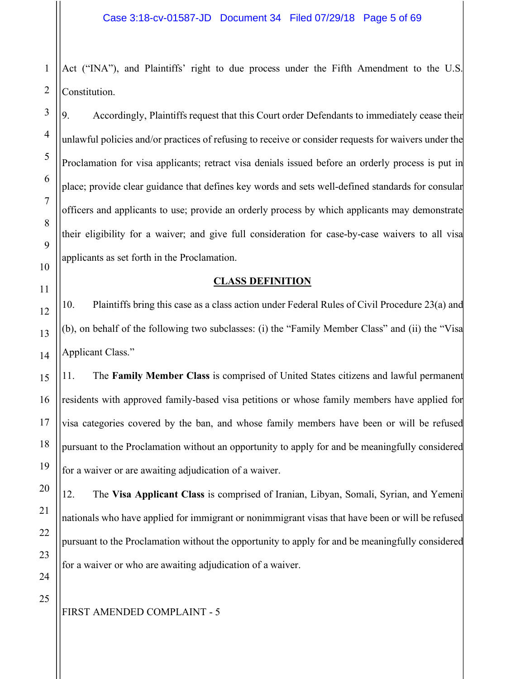1 Act ("INA"), and Plaintiffs' right to due process under the Fifth Amendment to the U.S. Constitution.

9. Accordingly, Plaintiffs request that this Court order Defendants to immediately cease their unlawful policies and/or practices of refusing to receive or consider requests for waivers under the Proclamation for visa applicants; retract visa denials issued before an orderly process is put in place; provide clear guidance that defines key words and sets well-defined standards for consular officers and applicants to use; provide an orderly process by which applicants may demonstrate their eligibility for a waiver; and give full consideration for case-by-case waivers to all visa applicants as set forth in the Proclamation.

#### **CLASS DEFINITION**

10. Plaintiffs bring this case as a class action under Federal Rules of Civil Procedure 23(a) and (b), on behalf of the following two subclasses: (i) the "Family Member Class" and (ii) the "Visa Applicant Class."

11. The **Family Member Class** is comprised of United States citizens and lawful permanent residents with approved family-based visa petitions or whose family members have applied for visa categories covered by the ban, and whose family members have been or will be refused pursuant to the Proclamation without an opportunity to apply for and be meaningfully considered for a waiver or are awaiting adjudication of a waiver.

12. The **Visa Applicant Class** is comprised of Iranian, Libyan, Somali, Syrian, and Yemeni nationals who have applied for immigrant or nonimmigrant visas that have been or will be refused pursuant to the Proclamation without the opportunity to apply for and be meaningfully considered for a waiver or who are awaiting adjudication of a waiver.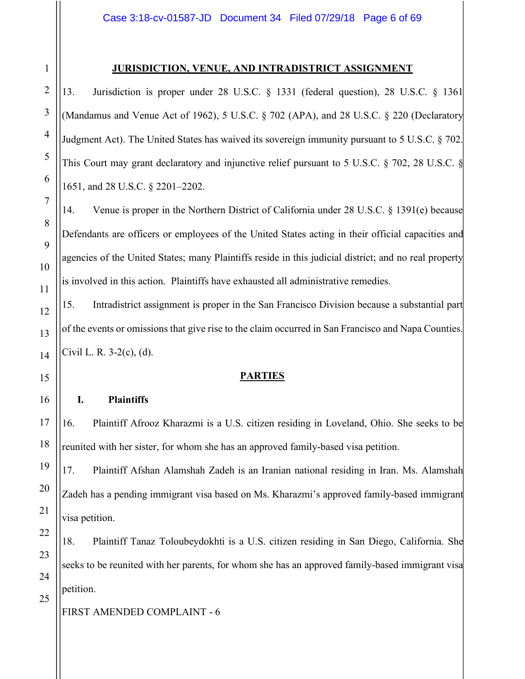25

#### **JURISDICTION, VENUE, AND INTRADISTRICT ASSIGNMENT**

13. Jurisdiction is proper under 28 U.S.C. § 1331 (federal question), 28 U.S.C. § 1361 (Mandamus and Venue Act of 1962), 5 U.S.C. § 702 (APA), and 28 U.S.C. § 220 (Declaratory Judgment Act). The United States has waived its sovereign immunity pursuant to 5 U.S.C. § 702. This Court may grant declaratory and injunctive relief pursuant to 5 U.S.C. § 702, 28 U.S.C. § 1651, and 28 U.S.C. § 2201–2202.

14. Venue is proper in the Northern District of California under 28 U.S.C. § 1391(e) because Defendants are officers or employees of the United States acting in their official capacities and agencies of the United States; many Plaintiffs reside in this judicial district; and no real property is involved in this action. Plaintiffs have exhausted all administrative remedies.

15. Intradistrict assignment is proper in the San Francisco Division because a substantial part of the events or omissions that give rise to the claim occurred in San Francisco and Napa Counties. Civil L. R. 3-2(c), (d).

#### **PARTIES**

#### **I. Plaintiffs**

16. Plaintiff Afrooz Kharazmi is a U.S. citizen residing in Loveland, Ohio. She seeks to be reunited with her sister, for whom she has an approved family-based visa petition.

17. Plaintiff Afshan Alamshah Zadeh is an Iranian national residing in Iran. Ms. Alamshah Zadeh has a pending immigrant visa based on Ms. Kharazmi's approved family-based immigrant visa petition.

18. Plaintiff Tanaz Toloubeydokhti is a U.S. citizen residing in San Diego, California. She seeks to be reunited with her parents, for whom she has an approved family-based immigrant visa petition.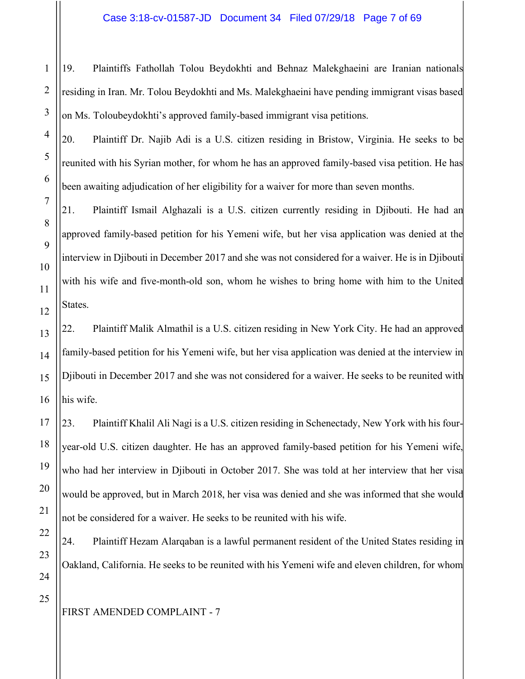19. Plaintiffs Fathollah Tolou Beydokhti and Behnaz Malekghaeini are Iranian nationals residing in Iran. Mr. Tolou Beydokhti and Ms. Malekghaeini have pending immigrant visas based on Ms. Toloubeydokhti's approved family-based immigrant visa petitions.

20. Plaintiff Dr. Najib Adi is a U.S. citizen residing in Bristow, Virginia. He seeks to be reunited with his Syrian mother, for whom he has an approved family-based visa petition. He has been awaiting adjudication of her eligibility for a waiver for more than seven months.

21. Plaintiff Ismail Alghazali is a U.S. citizen currently residing in Djibouti. He had an approved family-based petition for his Yemeni wife, but her visa application was denied at the interview in Djibouti in December 2017 and she was not considered for a waiver. He is in Djibouti with his wife and five-month-old son, whom he wishes to bring home with him to the United States.

22. Plaintiff Malik Almathil is a U.S. citizen residing in New York City. He had an approved family-based petition for his Yemeni wife, but her visa application was denied at the interview in Djibouti in December 2017 and she was not considered for a waiver. He seeks to be reunited with his wife.

23. Plaintiff Khalil Ali Nagi is a U.S. citizen residing in Schenectady, New York with his fouryear-old U.S. citizen daughter. He has an approved family-based petition for his Yemeni wife, who had her interview in Djibouti in October 2017. She was told at her interview that her visa would be approved, but in March 2018, her visa was denied and she was informed that she would not be considered for a waiver. He seeks to be reunited with his wife.

24. Plaintiff Hezam Alarqaban is a lawful permanent resident of the United States residing in Oakland, California. He seeks to be reunited with his Yemeni wife and eleven children, for whom

1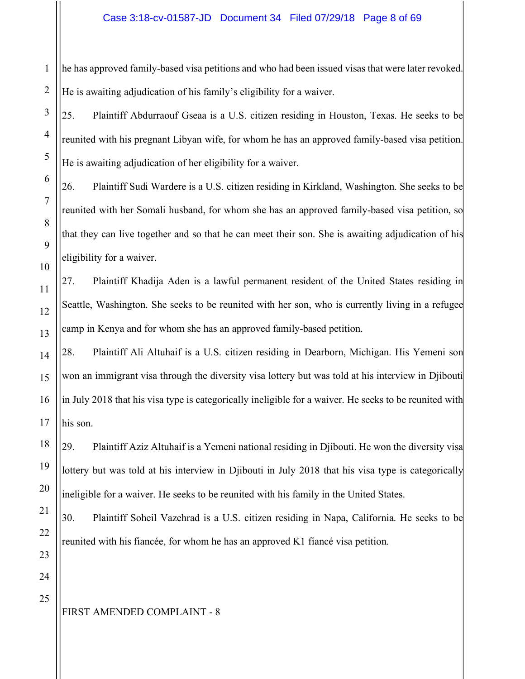1 he has approved family-based visa petitions and who had been issued visas that were later revoked. He is awaiting adjudication of his family's eligibility for a waiver.

25. Plaintiff Abdurraouf Gseaa is a U.S. citizen residing in Houston, Texas. He seeks to be reunited with his pregnant Libyan wife, for whom he has an approved family-based visa petition. He is awaiting adjudication of her eligibility for a waiver.

26. Plaintiff Sudi Wardere is a U.S. citizen residing in Kirkland, Washington. She seeks to be reunited with her Somali husband, for whom she has an approved family-based visa petition, so that they can live together and so that he can meet their son. She is awaiting adjudication of his eligibility for a waiver.

27. Plaintiff Khadija Aden is a lawful permanent resident of the United States residing in Seattle, Washington. She seeks to be reunited with her son, who is currently living in a refugee camp in Kenya and for whom she has an approved family-based petition.

28. Plaintiff Ali Altuhaif is a U.S. citizen residing in Dearborn, Michigan. His Yemeni son won an immigrant visa through the diversity visa lottery but was told at his interview in Djibouti in July 2018 that his visa type is categorically ineligible for a waiver. He seeks to be reunited with his son.

29. Plaintiff Aziz Altuhaif is a Yemeni national residing in Djibouti. He won the diversity visa lottery but was told at his interview in Djibouti in July 2018 that his visa type is categorically ineligible for a waiver. He seeks to be reunited with his family in the United States.

30. Plaintiff Soheil Vazehrad is a U.S. citizen residing in Napa, California. He seeks to be reunited with his fiancée, for whom he has an approved K1 fiancé visa petition.

# FIRST AMENDED COMPLAINT - 8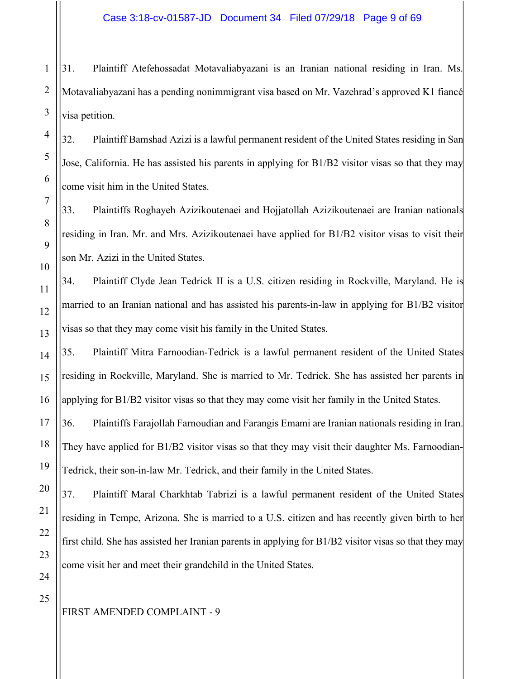1 2 3 31. Plaintiff Atefehossadat Motavaliabyazani is an Iranian national residing in Iran. Ms. Motavaliabyazani has a pending nonimmigrant visa based on Mr. Vazehrad's approved K1 fiancé visa petition.

32. Plaintiff Bamshad Azizi is a lawful permanent resident of the United States residing in San Jose, California. He has assisted his parents in applying for B1/B2 visitor visas so that they may come visit him in the United States.

33. Plaintiffs Roghayeh Azizikoutenaei and Hojjatollah Azizikoutenaei are Iranian nationals residing in Iran. Mr. and Mrs. Azizikoutenaei have applied for B1/B2 visitor visas to visit their son Mr. Azizi in the United States.

34. Plaintiff Clyde Jean Tedrick II is a U.S. citizen residing in Rockville, Maryland. He is married to an Iranian national and has assisted his parents-in-law in applying for B1/B2 visitor visas so that they may come visit his family in the United States.

35. Plaintiff Mitra Farnoodian-Tedrick is a lawful permanent resident of the United States residing in Rockville, Maryland. She is married to Mr. Tedrick. She has assisted her parents in applying for B1/B2 visitor visas so that they may come visit her family in the United States.

36. Plaintiffs Farajollah Farnoudian and Farangis Emami are Iranian nationals residing in Iran. They have applied for B1/B2 visitor visas so that they may visit their daughter Ms. Farnoodian-Tedrick, their son-in-law Mr. Tedrick, and their family in the United States.

37. Plaintiff Maral Charkhtab Tabrizi is a lawful permanent resident of the United States residing in Tempe, Arizona. She is married to a U.S. citizen and has recently given birth to her first child. She has assisted her Iranian parents in applying for B1/B2 visitor visas so that they may come visit her and meet their grandchild in the United States.

4

5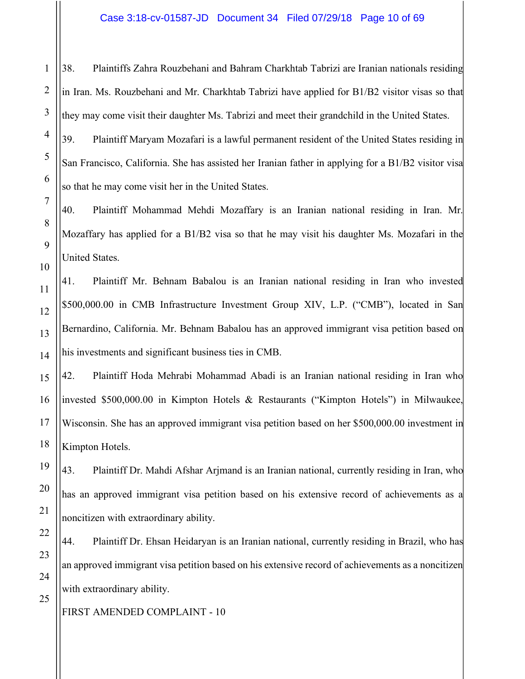38. Plaintiffs Zahra Rouzbehani and Bahram Charkhtab Tabrizi are Iranian nationals residing in Iran. Ms. Rouzbehani and Mr. Charkhtab Tabrizi have applied for B1/B2 visitor visas so that they may come visit their daughter Ms. Tabrizi and meet their grandchild in the United States.

39. Plaintiff Maryam Mozafari is a lawful permanent resident of the United States residing in San Francisco, California. She has assisted her Iranian father in applying for a B1/B2 visitor visa so that he may come visit her in the United States.

40. Plaintiff Mohammad Mehdi Mozaffary is an Iranian national residing in Iran. Mr. Mozaffary has applied for a B1/B2 visa so that he may visit his daughter Ms. Mozafari in the United States.

41. Plaintiff Mr. Behnam Babalou is an Iranian national residing in Iran who invested \$500,000.00 in CMB Infrastructure Investment Group XIV, L.P. ("CMB"), located in San Bernardino, California. Mr. Behnam Babalou has an approved immigrant visa petition based on his investments and significant business ties in CMB.

42. Plaintiff Hoda Mehrabi Mohammad Abadi is an Iranian national residing in Iran who invested \$500,000.00 in Kimpton Hotels & Restaurants ("Kimpton Hotels") in Milwaukee, Wisconsin. She has an approved immigrant visa petition based on her \$500,000.00 investment in Kimpton Hotels.

43. Plaintiff Dr. Mahdi Afshar Arjmand is an Iranian national, currently residing in Iran, who has an approved immigrant visa petition based on his extensive record of achievements as a noncitizen with extraordinary ability.

44. Plaintiff Dr. Ehsan Heidaryan is an Iranian national, currently residing in Brazil, who has an approved immigrant visa petition based on his extensive record of achievements as a noncitizen with extraordinary ability.

FIRST AMENDED COMPLAINT - 10

1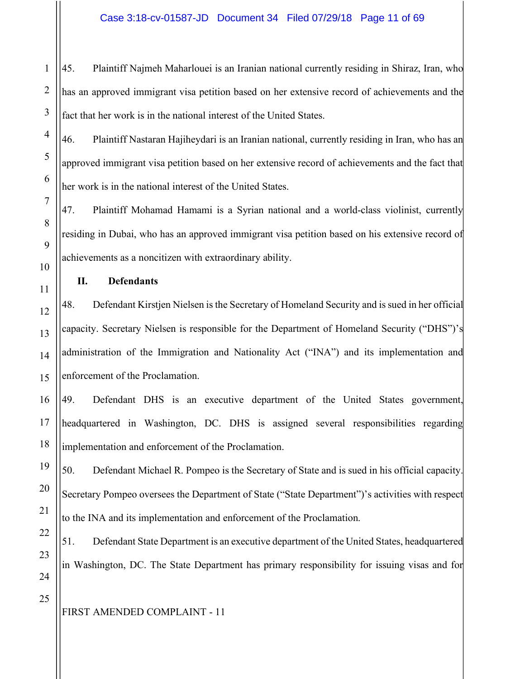45. Plaintiff Najmeh Maharlouei is an Iranian national currently residing in Shiraz, Iran, who has an approved immigrant visa petition based on her extensive record of achievements and the fact that her work is in the national interest of the United States.

46. Plaintiff Nastaran Hajiheydari is an Iranian national, currently residing in Iran, who has an approved immigrant visa petition based on her extensive record of achievements and the fact that her work is in the national interest of the United States.

47. Plaintiff Mohamad Hamami is a Syrian national and a world-class violinist, currently residing in Dubai, who has an approved immigrant visa petition based on his extensive record of achievements as a noncitizen with extraordinary ability.

**II. Defendants**

48. Defendant Kirstjen Nielsen is the Secretary of Homeland Security and is sued in her official capacity. Secretary Nielsen is responsible for the Department of Homeland Security ("DHS")'s administration of the Immigration and Nationality Act ("INA") and its implementation and enforcement of the Proclamation.

49. Defendant DHS is an executive department of the United States government, headquartered in Washington, DC. DHS is assigned several responsibilities regarding implementation and enforcement of the Proclamation.

50. Defendant Michael R. Pompeo is the Secretary of State and is sued in his official capacity. Secretary Pompeo oversees the Department of State ("State Department")'s activities with respect to the INA and its implementation and enforcement of the Proclamation.

51. Defendant State Department is an executive department of the United States, headquartered in Washington, DC. The State Department has primary responsibility for issuing visas and for

1

2

3

4

5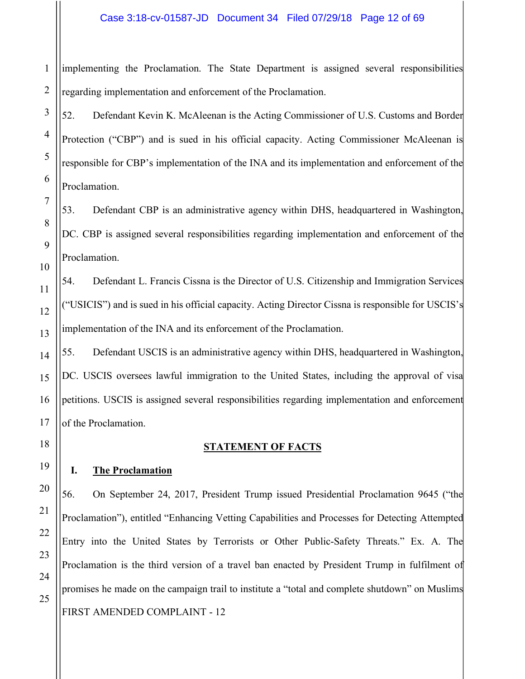#### Case 3:18-cv-01587-JD Document 34 Filed 07/29/18 Page 12 of 69

1 implementing the Proclamation. The State Department is assigned several responsibilities regarding implementation and enforcement of the Proclamation.

52. Defendant Kevin K. McAleenan is the Acting Commissioner of U.S. Customs and Border Protection ("CBP") and is sued in his official capacity. Acting Commissioner McAleenan is responsible for CBP's implementation of the INA and its implementation and enforcement of the Proclamation.

53. Defendant CBP is an administrative agency within DHS, headquartered in Washington, DC. CBP is assigned several responsibilities regarding implementation and enforcement of the Proclamation.

54. Defendant L. Francis Cissna is the Director of U.S. Citizenship and Immigration Services ("USICIS") and is sued in his official capacity. Acting Director Cissna is responsible for USCIS's implementation of the INA and its enforcement of the Proclamation.

55. Defendant USCIS is an administrative agency within DHS, headquartered in Washington, DC. USCIS oversees lawful immigration to the United States, including the approval of visa petitions. USCIS is assigned several responsibilities regarding implementation and enforcement of the Proclamation.

#### **STATEMENT OF FACTS**

#### **I. The Proclamation**

FIRST AMENDED COMPLAINT - 12 56. On September 24, 2017, President Trump issued Presidential Proclamation 9645 ("the Proclamation"), entitled "Enhancing Vetting Capabilities and Processes for Detecting Attempted Entry into the United States by Terrorists or Other Public-Safety Threats." Ex. A. The Proclamation is the third version of a travel ban enacted by President Trump in fulfilment of promises he made on the campaign trail to institute a "total and complete shutdown" on Muslims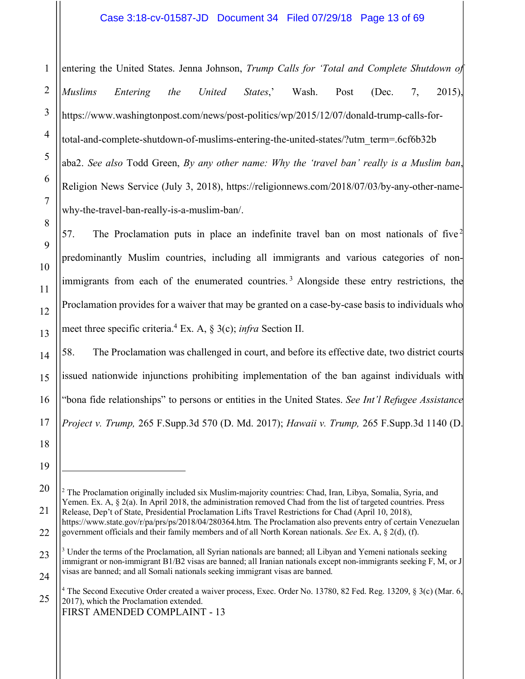#### Case 3:18-cv-01587-JD Document 34 Filed 07/29/18 Page 13 of 69

entering the United States. Jenna Johnson, *Trump Calls for 'Total and Complete Shutdown of Muslims Entering the United States*,' Wash. Post (Dec. 7, 2015), https://www.washingtonpost.com/news/post-politics/wp/2015/12/07/donald-trump-calls-fortotal-and-complete-shutdown-of-muslims-entering-the-united-states/?utm\_term=.6cf6b32b aba2. *See also* Todd Green, *By any other name: Why the 'travel ban' really is a Muslim ban*, Religion News Service (July 3, 2018), https://religionnews.com/2018/07/03/by-any-other-namewhy-the-travel-ban-really-is-a-muslim-ban/.

57. The Proclamation puts in place an indefinite travel ban on most nationals of five<sup>2</sup> predominantly Muslim countries, including all immigrants and various categories of nonimmigrants from each of the enumerated countries.<sup>3</sup> Alongside these entry restrictions, the Proclamation provides for a waiver that may be granted on a case-by-case basis to individuals who meet three specific criteria. <sup>4</sup> Ex. A, § 3(c); *infra* Section II.

58. The Proclamation was challenged in court, and before its effective date, two district courts issued nationwide injunctions prohibiting implementation of the ban against individuals with "bona fide relationships" to persons or entities in the United States. *See Int'l Refugee Assistance Project v. Trump,* 265 F.Supp.3d 570 (D. Md. 2017); *Hawaii v. Trump,* 265 F.Supp.3d 1140 (D.

 $\overline{a}$ 

https://www.state.gov/r/pa/prs/ps/2018/04/280364.htm. The Proclamation also prevents entry of certain Venezuelan government officials and their family members and of all North Korean nationals. *See* Ex. A, § 2(d), (f).

<sup>2</sup> The Proclamation originally included six Muslim-majority countries: Chad, Iran, Libya, Somalia, Syria, and Yemen. Ex. A,  $\S 2(a)$ . In April 2018, the administration removed Chad from the list of targeted countries. Press Release, Dep't of State, Presidential Proclamation Lifts Travel Restrictions for Chad (April 10, 2018),

 $3$  Under the terms of the Proclamation, all Syrian nationals are banned; all Libyan and Yemeni nationals seeking immigrant or non-immigrant B1/B2 visas are banned; all Iranian nationals except non-immigrants seeking F, M, or J visas are banned; and all Somali nationals seeking immigrant visas are banned.

<sup>25</sup> <sup>4</sup> The Second Executive Order created a waiver process, Exec. Order No. 13780, 82 Fed. Reg. 13209, § 3(c) (Mar. 6, 2017), which the Proclamation extended.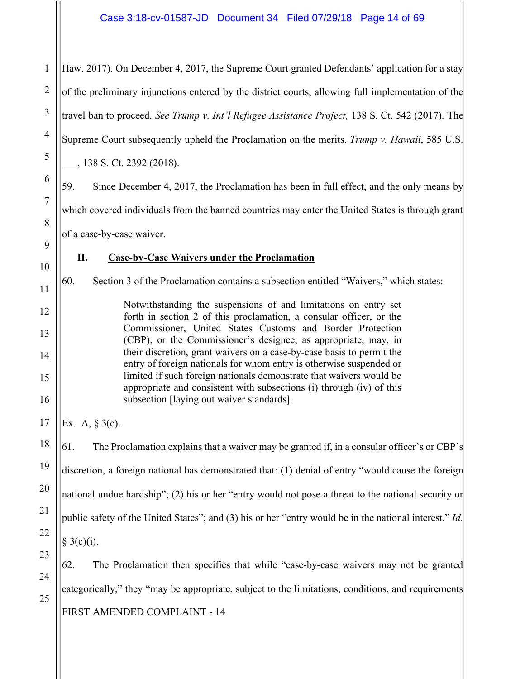1

Haw. 2017). On December 4, 2017, the Supreme Court granted Defendants' application for a stay of the preliminary injunctions entered by the district courts, allowing full implementation of the travel ban to proceed. *See Trump v. Int'l Refugee Assistance Project,* 138 S. Ct. 542 (2017). The Supreme Court subsequently upheld the Proclamation on the merits. *Trump v. Hawaii*, 585 U.S. \_\_\_, 138 S. Ct. 2392 (2018). 59. Since December 4, 2017, the Proclamation has been in full effect, and the only means by which covered individuals from the banned countries may enter the United States is through grant of a case-by-case waiver. **II. Case-by-Case Waivers under the Proclamation**  60. Section 3 of the Proclamation contains a subsection entitled "Waivers," which states: Notwithstanding the suspensions of and limitations on entry set forth in section 2 of this proclamation, a consular officer, or the Commissioner, United States Customs and Border Protection (CBP), or the Commissioner's designee, as appropriate, may, in their discretion, grant waivers on a case-by-case basis to permit the entry of foreign nationals for whom entry is otherwise suspended or limited if such foreign nationals demonstrate that waivers would be appropriate and consistent with subsections (i) through (iv) of this subsection [laying out waiver standards]. Ex. A, § 3(c). 61. The Proclamation explains that a waiver may be granted if, in a consular officer's or CBP's discretion, a foreign national has demonstrated that: (1) denial of entry "would cause the foreign national undue hardship"; (2) his or her "entry would not pose a threat to the national security or public safety of the United States"; and (3) his or her "entry would be in the national interest." *Id.*  $§ 3(c)(i).$ 62. The Proclamation then specifies that while "case-by-case waivers may not be granted categorically," they "may be appropriate, subject to the limitations, conditions, and requirements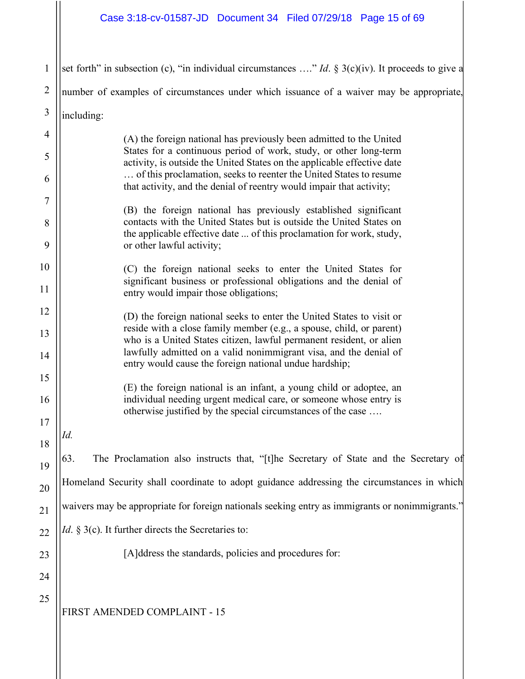# Case 3:18-cv-01587-JD Document 34 Filed 07/29/18 Page 15 of 69

| $\mathbf{1}$   | set forth" in subsection (c), "in individual circumstances " <i>Id.</i> § 3(c)(iv). It proceeds to give a                                     |
|----------------|-----------------------------------------------------------------------------------------------------------------------------------------------|
| $\overline{2}$ | number of examples of circumstances under which issuance of a waiver may be appropriate,                                                      |
| $\mathfrak{Z}$ | including:                                                                                                                                    |
| $\overline{4}$ | (A) the foreign national has previously been admitted to the United                                                                           |
| 5              | States for a continuous period of work, study, or other long-term<br>activity, is outside the United States on the applicable effective date  |
| 6              | of this proclamation, seeks to reenter the United States to resume<br>that activity, and the denial of reentry would impair that activity;    |
| $\overline{7}$ | (B) the foreign national has previously established significant                                                                               |
| 8              | contacts with the United States but is outside the United States on<br>the applicable effective date  of this proclamation for work, study,   |
| 9              | or other lawful activity;                                                                                                                     |
| 10             | (C) the foreign national seeks to enter the United States for<br>significant business or professional obligations and the denial of           |
| 11             | entry would impair those obligations;                                                                                                         |
| 12             | (D) the foreign national seeks to enter the United States to visit or<br>reside with a close family member (e.g., a spouse, child, or parent) |
| 13             | who is a United States citizen, lawful permanent resident, or alien<br>lawfully admitted on a valid nonimmigrant visa, and the denial of      |
| 14             | entry would cause the foreign national undue hardship;                                                                                        |
| 15             | (E) the foreign national is an infant, a young child or adoptee, an                                                                           |
| 16             | individual needing urgent medical care, or someone whose entry is<br>otherwise justified by the special circumstances of the case             |
| 17<br>18       | Id.                                                                                                                                           |
| 19             | 63.<br>The Proclamation also instructs that, "[t]he Secretary of State and the Secretary of                                                   |
| 20             | Homeland Security shall coordinate to adopt guidance addressing the circumstances in which                                                    |
| 21             | waivers may be appropriate for foreign nationals seeking entry as immigrants or nonimmigrants."                                               |
| 22             | <i>Id.</i> § 3(c). It further directs the Secretaries to:                                                                                     |
| 23             | [A]ddress the standards, policies and procedures for:                                                                                         |
| 24             |                                                                                                                                               |
| 25             |                                                                                                                                               |
|                | FIRST AMENDED COMPLAINT - 15                                                                                                                  |
|                |                                                                                                                                               |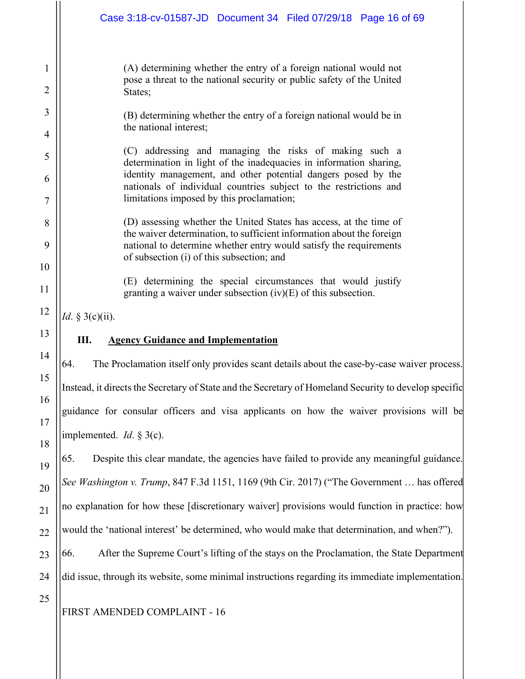|          | Case 3:18-cv-01587-JD  Document 34  Filed 07/29/18  Page 16 of 69                                                                                                               |  |
|----------|---------------------------------------------------------------------------------------------------------------------------------------------------------------------------------|--|
| 1        | (A) determining whether the entry of a foreign national would not<br>pose a threat to the national security or public safety of the United                                      |  |
| 2        | States;                                                                                                                                                                         |  |
| 3<br>4   | (B) determining whether the entry of a foreign national would be in<br>the national interest;                                                                                   |  |
| 5        | (C) addressing and managing the risks of making such a<br>determination in light of the inadequacies in information sharing,                                                    |  |
| 6        | identity management, and other potential dangers posed by the<br>nationals of individual countries subject to the restrictions and<br>limitations imposed by this proclamation; |  |
| 7        |                                                                                                                                                                                 |  |
| 8        | (D) assessing whether the United States has access, at the time of<br>the waiver determination, to sufficient information about the foreign                                     |  |
| 9        | national to determine whether entry would satisfy the requirements<br>of subsection (i) of this subsection; and                                                                 |  |
| 10<br>11 | (E) determining the special circumstances that would justify<br>granting a waiver under subsection $(iv)(E)$ of this subsection.                                                |  |
| 12       | <i>Id.</i> § 3(c)(ii).                                                                                                                                                          |  |
| 13       | Ш.<br><b>Agency Guidance and Implementation</b>                                                                                                                                 |  |
| 14       | The Proclamation itself only provides scant details about the case-by-case waiver process.<br>64.                                                                               |  |
| 15       | Instead, it directs the Secretary of State and the Secretary of Homeland Security to develop specific                                                                           |  |
| 16       | guidance for consular officers and visa applicants on how the waiver provisions will be                                                                                         |  |
| 17       |                                                                                                                                                                                 |  |
| 18       | implemented. <i>Id.</i> $\S$ 3(c).                                                                                                                                              |  |
| 19       | Despite this clear mandate, the agencies have failed to provide any meaningful guidance.<br>65.                                                                                 |  |
| 20       | See Washington v. Trump, 847 F.3d 1151, 1169 (9th Cir. 2017) ("The Government  has offered                                                                                      |  |
| 21       | no explanation for how these [discretionary waiver] provisions would function in practice: how                                                                                  |  |
| 22       | would the 'national interest' be determined, who would make that determination, and when?").                                                                                    |  |
| 23       | After the Supreme Court's lifting of the stays on the Proclamation, the State Department<br>66.                                                                                 |  |
| 24       | did issue, through its website, some minimal instructions regarding its immediate implementation.                                                                               |  |
| 25       | FIRST AMENDED COMPLAINT - 16                                                                                                                                                    |  |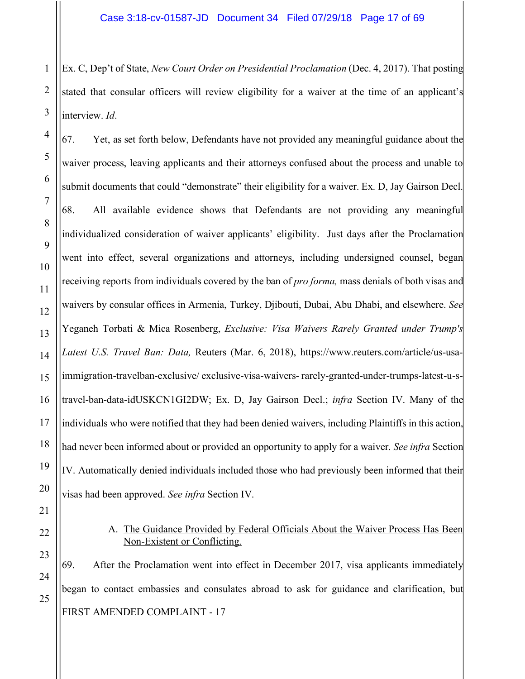Ex. C, Dep't of State, *New Court Order on Presidential Proclamation* (Dec. 4, 2017). That posting stated that consular officers will review eligibility for a waiver at the time of an applicant's interview. *Id*.

67. Yet, as set forth below, Defendants have not provided any meaningful guidance about the waiver process, leaving applicants and their attorneys confused about the process and unable to submit documents that could "demonstrate" their eligibility for a waiver. Ex. D, Jay Gairson Decl. 68. All available evidence shows that Defendants are not providing any meaningful individualized consideration of waiver applicants' eligibility. Just days after the Proclamation went into effect, several organizations and attorneys, including undersigned counsel, began receiving reports from individuals covered by the ban of *pro forma,* mass denials of both visas and waivers by consular offices in Armenia, Turkey, Djibouti, Dubai, Abu Dhabi, and elsewhere. *See*  Yeganeh Torbati & Mica Rosenberg, *Exclusive: Visa Waivers Rarely Granted under Trump's Latest U.S. Travel Ban: Data,* Reuters (Mar. 6, 2018), https://www.reuters.com/article/us-usaimmigration-travelban-exclusive/ exclusive-visa-waivers- rarely-granted-under-trumps-latest-u-stravel-ban-data-idUSKCN1GI2DW; Ex. D, Jay Gairson Decl.; *infra* Section IV. Many of the individuals who were notified that they had been denied waivers, including Plaintiffs in this action, had never been informed about or provided an opportunity to apply for a waiver. *See infra* Section IV. Automatically denied individuals included those who had previously been informed that their visas had been approved. *See infra* Section IV.

#### A. The Guidance Provided by Federal Officials About the Waiver Process Has Been Non-Existent or Conflicting.

FIRST AMENDED COMPLAINT - 17 69. After the Proclamation went into effect in December 2017, visa applicants immediately began to contact embassies and consulates abroad to ask for guidance and clarification, but

1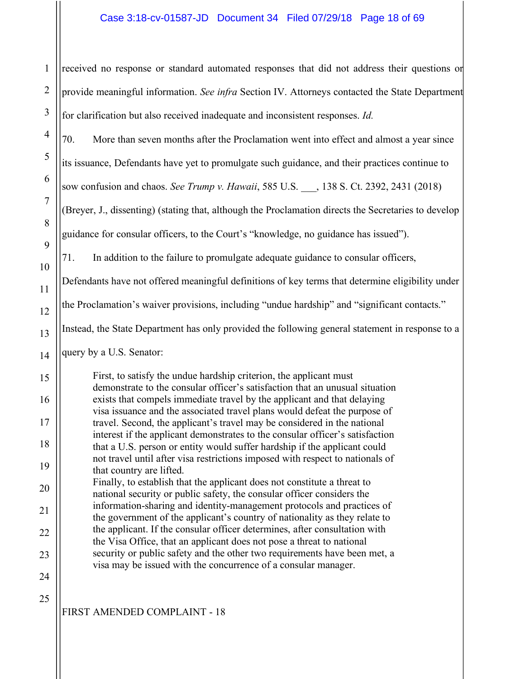#### Case 3:18-cv-01587-JD Document 34 Filed 07/29/18 Page 18 of 69

received no response or standard automated responses that did not address their questions or provide meaningful information. *See infra* Section IV. Attorneys contacted the State Department for clarification but also received inadequate and inconsistent responses. *Id.* 

70. More than seven months after the Proclamation went into effect and almost a year since

its issuance, Defendants have yet to promulgate such guidance, and their practices continue to

sow confusion and chaos. *See Trump v. Hawaii*, 585 U.S. \_\_\_, 138 S. Ct. 2392, 2431 (2018)

(Breyer, J., dissenting) (stating that, although the Proclamation directs the Secretaries to develop guidance for consular officers, to the Court's "knowledge, no guidance has issued").

71. In addition to the failure to promulgate adequate guidance to consular officers,

Defendants have not offered meaningful definitions of key terms that determine eligibility under

the Proclamation's waiver provisions, including "undue hardship" and "significant contacts."

Instead, the State Department has only provided the following general statement in response to a

query by a U.S. Senator:

First, to satisfy the undue hardship criterion, the applicant must demonstrate to the consular officer's satisfaction that an unusual situation exists that compels immediate travel by the applicant and that delaying visa issuance and the associated travel plans would defeat the purpose of travel. Second, the applicant's travel may be considered in the national interest if the applicant demonstrates to the consular officer's satisfaction that a U.S. person or entity would suffer hardship if the applicant could not travel until after visa restrictions imposed with respect to nationals of that country are lifted.

Finally, to establish that the applicant does not constitute a threat to national security or public safety, the consular officer considers the information-sharing and identity-management protocols and practices of the government of the applicant's country of nationality as they relate to the applicant. If the consular officer determines, after consultation with the Visa Office, that an applicant does not pose a threat to national security or public safety and the other two requirements have been met, a visa may be issued with the concurrence of a consular manager.

25

FIRST AMENDED COMPLAINT - 18

1

2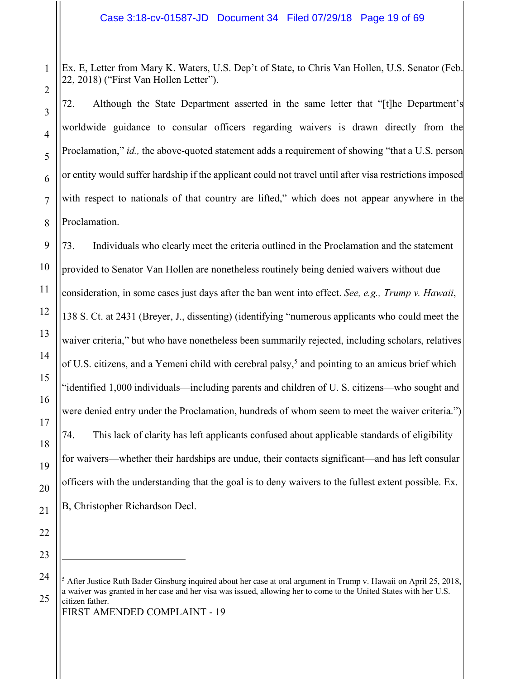Ex. E, Letter from Mary K. Waters, U.S. Dep't of State, to Chris Van Hollen, U.S. Senator (Feb. 22, 2018) ("First Van Hollen Letter").

72. Although the State Department asserted in the same letter that "[t]he Department's worldwide guidance to consular officers regarding waivers is drawn directly from the Proclamation," *id.*, the above-quoted statement adds a requirement of showing "that a U.S. person or entity would suffer hardship if the applicant could not travel until after visa restrictions imposed with respect to nationals of that country are lifted," which does not appear anywhere in the Proclamation.

73. Individuals who clearly meet the criteria outlined in the Proclamation and the statement provided to Senator Van Hollen are nonetheless routinely being denied waivers without due consideration, in some cases just days after the ban went into effect. *See, e.g., Trump v. Hawaii*, 138 S. Ct. at 2431 (Breyer, J., dissenting) (identifying "numerous applicants who could meet the waiver criteria," but who have nonetheless been summarily rejected, including scholars, relatives of U.S. citizens, and a Yemeni child with cerebral palsy,<sup>5</sup> and pointing to an amicus brief which "identified 1,000 individuals—including parents and children of U. S. citizens—who sought and were denied entry under the Proclamation, hundreds of whom seem to meet the waiver criteria.") 74. This lack of clarity has left applicants confused about applicable standards of eligibility for waivers—whether their hardships are undue, their contacts significant—and has left consular officers with the understanding that the goal is to deny waivers to the fullest extent possible. Ex. B, Christopher Richardson Decl.

FIRST AMENDED COMPLAINT - 19

 $5$  After Justice Ruth Bader Ginsburg inquired about her case at oral argument in Trump v. Hawaii on April 25, 2018, a waiver was granted in her case and her visa was issued, allowing her to come to the United States with her U.S. citizen father.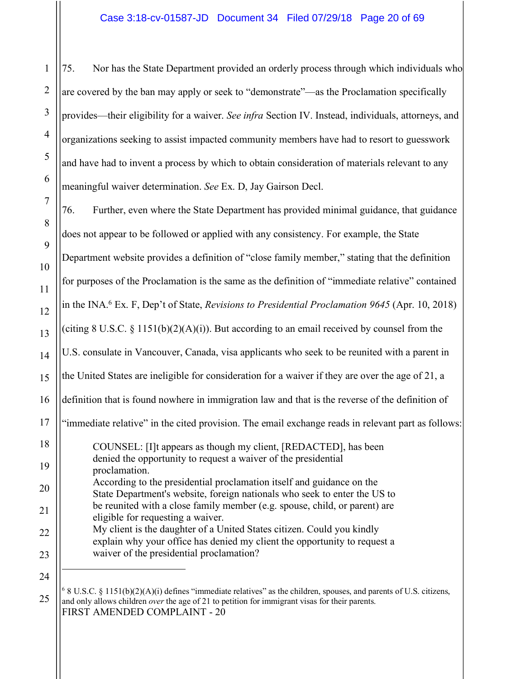75. Nor has the State Department provided an orderly process through which individuals who are covered by the ban may apply or seek to "demonstrate"—as the Proclamation specifically provides—their eligibility for a waiver. *See infra* Section IV. Instead, individuals, attorneys, and organizations seeking to assist impacted community members have had to resort to guesswork and have had to invent a process by which to obtain consideration of materials relevant to any meaningful waiver determination. *See* Ex. D, Jay Gairson Decl.

76. Further, even where the State Department has provided minimal guidance, that guidance does not appear to be followed or applied with any consistency. For example, the State Department website provides a definition of "close family member," stating that the definition for purposes of the Proclamation is the same as the definition of "immediate relative" contained in the INA. <sup>6</sup> Ex. F, Dep't of State, *Revisions to Presidential Proclamation 9645* (Apr. 10, 2018) (citing  $8 \text{ U.S.C. } \frac{8}{9}$  1151(b)(2)(A)(i)). But according to an email received by counsel from the U.S. consulate in Vancouver, Canada, visa applicants who seek to be reunited with a parent in the United States are ineligible for consideration for a waiver if they are over the age of 21, a definition that is found nowhere in immigration law and that is the reverse of the definition of "immediate relative" in the cited provision. The email exchange reads in relevant part as follows: COUNSEL: [I]t appears as though my client, [REDACTED], has been denied the opportunity to request a waiver of the presidential proclamation. According to the presidential proclamation itself and guidance on the State Department's website, foreign nationals who seek to enter the US to be reunited with a close family member (e.g. spouse, child, or parent) are eligible for requesting a waiver. My client is the daughter of a United States citizen. Could you kindly explain why your office has denied my client the opportunity to request a waiver of the presidential proclamation?  $\overline{a}$ 

25 FIRST AMENDED COMPLAINT - 20  $68$  U.S.C.  $8$  1151(b)(2)(A)(i) defines "immediate relatives" as the children, spouses, and parents of U.S. citizens, and only allows children *over* the age of 21 to petition for immigrant visas for their parents.

1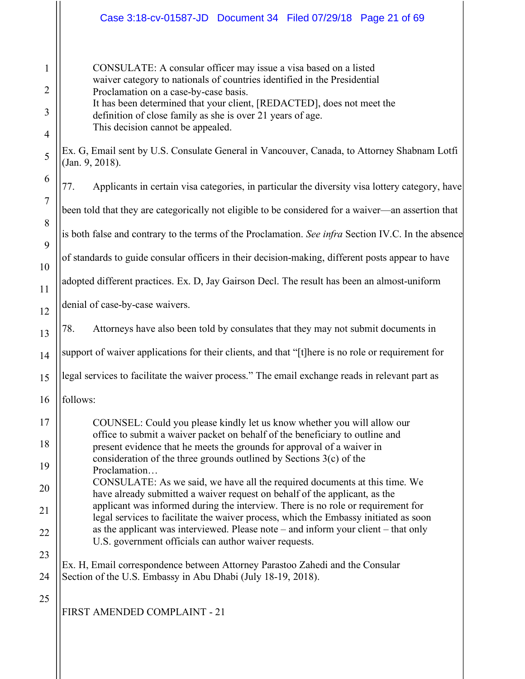| 1                   | CONSULATE: A consular officer may issue a visa based on a listed                                                                                                           |
|---------------------|----------------------------------------------------------------------------------------------------------------------------------------------------------------------------|
| $\overline{2}$      | waiver category to nationals of countries identified in the Presidential<br>Proclamation on a case-by-case basis.                                                          |
| 3                   | It has been determined that your client, [REDACTED], does not meet the<br>definition of close family as she is over 21 years of age.<br>This decision cannot be appealed.  |
| $\overline{4}$<br>5 | Ex. G, Email sent by U.S. Consulate General in Vancouver, Canada, to Attorney Shabnam Lotfi<br>(Jan. 9, 2018).                                                             |
| 6                   | Applicants in certain visa categories, in particular the diversity visa lottery category, have<br>77.                                                                      |
| $\overline{7}$      | been told that they are categorically not eligible to be considered for a waiver—an assertion that                                                                         |
| 8<br>9              | is both false and contrary to the terms of the Proclamation. See infra Section IV.C. In the absence                                                                        |
| 10                  | of standards to guide consular officers in their decision-making, different posts appear to have                                                                           |
| 11                  | adopted different practices. Ex. D, Jay Gairson Decl. The result has been an almost-uniform                                                                                |
| 12                  | denial of case-by-case waivers.                                                                                                                                            |
| 13                  | 78.<br>Attorneys have also been told by consulates that they may not submit documents in                                                                                   |
| 14                  | support of waiver applications for their clients, and that "[t] here is no role or requirement for                                                                         |
| 15                  | legal services to facilitate the waiver process." The email exchange reads in relevant part as                                                                             |
| 16                  | follows:                                                                                                                                                                   |
| 17                  | COUNSEL: Could you please kindly let us know whether you will allow our<br>office to submit a waiver packet on behalf of the beneficiary to outline and                    |
| 18                  | present evidence that he meets the grounds for approval of a waiver in<br>consideration of the three grounds outlined by Sections $3(c)$ of the                            |
| 19                  | Proclamation<br>CONSULATE: As we said, we have all the required documents at this time. We                                                                                 |
| 20                  | have already submitted a waiver request on behalf of the applicant, as the<br>applicant was informed during the interview. There is no role or requirement for             |
| 21                  | legal services to facilitate the waiver process, which the Embassy initiated as soon<br>as the applicant was interviewed. Please note - and inform your client - that only |
| 22<br>23            | U.S. government officials can author waiver requests.                                                                                                                      |
| 24                  | Ex. H, Email correspondence between Attorney Parastoo Zahedi and the Consular<br>Section of the U.S. Embassy in Abu Dhabi (July 18-19, 2018).                              |
| 25                  | FIRST AMENDED COMPLAINT - 21                                                                                                                                               |
|                     |                                                                                                                                                                            |

Case 3:18-cv-01587-JD Document 34 Filed 07/29/18 Page 21 of 69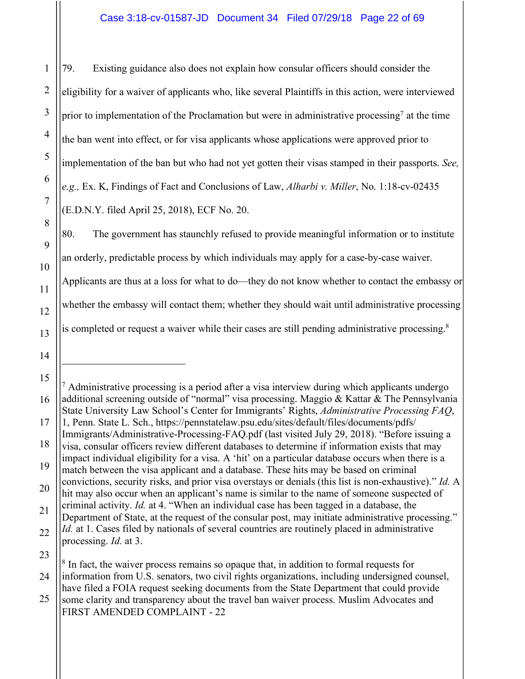79. Existing guidance also does not explain how consular officers should consider the eligibility for a waiver of applicants who, like several Plaintiffs in this action, were interviewed prior to implementation of the Proclamation but were in administrative processing<sup>7</sup> at the time the ban went into effect, or for visa applicants whose applications were approved prior to implementation of the ban but who had not yet gotten their visas stamped in their passports. *See, e.g.,* Ex. K, Findings of Fact and Conclusions of Law, *Alharbi v. Miller*, No. 1:18-cv-02435 (E.D.N.Y. filed April 25, 2018), ECF No. 20.

80. The government has staunchly refused to provide meaningful information or to institute an orderly, predictable process by which individuals may apply for a case-by-case waiver. Applicants are thus at a loss for what to do—they do not know whether to contact the embassy or whether the embassy will contact them; whether they should wait until administrative processing is completed or request a waiver while their cases are still pending administrative processing.<sup>8</sup>

 $<sup>7</sup>$  Administrative processing is a period after a visa interview during which applicants undergo</sup> additional screening outside of "normal" visa processing. Maggio & Kattar & The Pennsylvania State University Law School's Center for Immigrants' Rights, *Administrative Processing FAQ*, 1, Penn. State L. Sch., https://pennstatelaw.psu.edu/sites/default/files/documents/pdfs/

convictions, security risks, and prior visa overstays or denials (this list is non-exhaustive)." *Id.* A hit may also occur when an applicant's name is similar to the name of someone suspected of

FIRST AMENDED COMPLAINT - 22

Immigrants/Administrative-Processing-FAQ.pdf (last visited July 29, 2018). "Before issuing a visa, consular officers review different databases to determine if information exists that may impact individual eligibility for a visa. A 'hit' on a particular database occurs when there is a match between the visa applicant and a database. These hits may be based on criminal

criminal activity. *Id.* at 4. "When an individual case has been tagged in a database, the Department of State, at the request of the consular post, may initiate administrative processing." *Id.* at 1. Cases filed by nationals of several countries are routinely placed in administrative processing. *Id.* at 3.

<sup>25</sup> <sup>8</sup> In fact, the waiver process remains so opaque that, in addition to formal requests for information from U.S. senators, two civil rights organizations, including undersigned counsel, have filed a FOIA request seeking documents from the State Department that could provide some clarity and transparency about the travel ban waiver process. Muslim Advocates and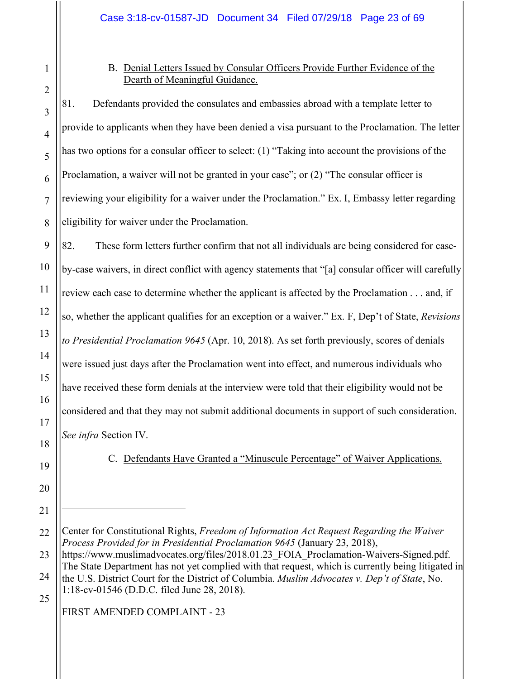### B. Denial Letters Issued by Consular Officers Provide Further Evidence of the Dearth of Meaningful Guidance.

81. Defendants provided the consulates and embassies abroad with a template letter to provide to applicants when they have been denied a visa pursuant to the Proclamation. The letter has two options for a consular officer to select: (1) "Taking into account the provisions of the Proclamation, a waiver will not be granted in your case"; or (2) "The consular officer is reviewing your eligibility for a waiver under the Proclamation." Ex. I, Embassy letter regarding eligibility for waiver under the Proclamation.

82. These form letters further confirm that not all individuals are being considered for caseby-case waivers, in direct conflict with agency statements that "[a] consular officer will carefully review each case to determine whether the applicant is affected by the Proclamation . . . and, if so, whether the applicant qualifies for an exception or a waiver." Ex. F, Dep't of State, *Revisions to Presidential Proclamation 9645* (Apr. 10, 2018). As set forth previously, scores of denials were issued just days after the Proclamation went into effect, and numerous individuals who have received these form denials at the interview were told that their eligibility would not be considered and that they may not submit additional documents in support of such consideration. *See infra* Section IV.

C. Defendants Have Granted a "Minuscule Percentage" of Waiver Applications.

23 24 25 https://www.muslimadvocates.org/files/2018.01.23 FOIA Proclamation-Waivers-Signed.pdf. The State Department has not yet complied with that request, which is currently being litigated in the U.S. District Court for the District of Columbia. *Muslim Advocates v. Dep't of State*, No. 1:18-cv-01546 (D.D.C. filed June 28, 2018).

FIRST AMENDED COMPLAINT - 23

4

5

6

7

8

9

10

11

12

13

14

15

16

17

18

19

20

21

<sup>22</sup> Center for Constitutional Rights, *Freedom of Information Act Request Regarding the Waiver Process Provided for in Presidential Proclamation 9645* (January 23, 2018),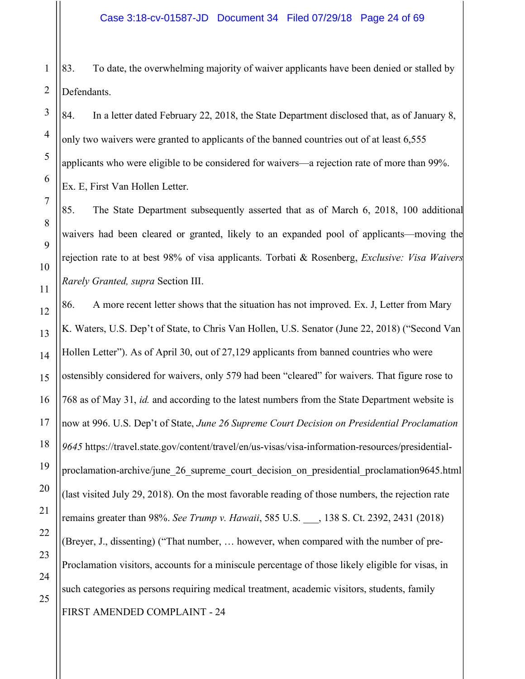83. To date, the overwhelming majority of waiver applicants have been denied or stalled by Defendants.

84. In a letter dated February 22, 2018, the State Department disclosed that, as of January 8, only two waivers were granted to applicants of the banned countries out of at least 6,555 applicants who were eligible to be considered for waivers—a rejection rate of more than 99%. Ex. E, First Van Hollen Letter.

85. The State Department subsequently asserted that as of March 6, 2018, 100 additional waivers had been cleared or granted, likely to an expanded pool of applicants—moving the rejection rate to at best 98% of visa applicants. Torbati & Rosenberg, *Exclusive: Visa Waivers Rarely Granted, supra* Section III.

FIRST AMENDED COMPLAINT - 24 86. A more recent letter shows that the situation has not improved. Ex. J, Letter from Mary K. Waters, U.S. Dep't of State, to Chris Van Hollen, U.S. Senator (June 22, 2018) ("Second Van Hollen Letter"). As of April 30, out of 27,129 applicants from banned countries who were ostensibly considered for waivers, only 579 had been "cleared" for waivers. That figure rose to 768 as of May 31, *id.* and according to the latest numbers from the State Department website is now at 996. U.S. Dep't of State, *June 26 Supreme Court Decision on Presidential Proclamation 9645* https://travel.state.gov/content/travel/en/us-visas/visa-information-resources/presidentialproclamation-archive/june 26 supreme court decision on presidential proclamation9645.html (last visited July 29, 2018). On the most favorable reading of those numbers, the rejection rate remains greater than 98%. *See Trump v. Hawaii*, 585 U.S. \_\_\_, 138 S. Ct. 2392, 2431 (2018) (Breyer, J., dissenting) ("That number, … however, when compared with the number of pre-Proclamation visitors, accounts for a miniscule percentage of those likely eligible for visas, in such categories as persons requiring medical treatment, academic visitors, students, family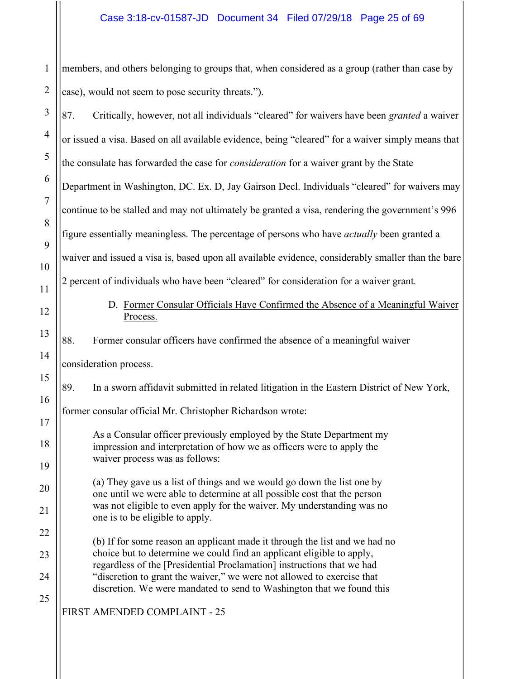1 members, and others belonging to groups that, when considered as a group (rather than case by case), would not seem to pose security threats.").

| 3              | 87.<br>Critically, however, not all individuals "cleared" for waivers have been granted a waiver                                                   |
|----------------|----------------------------------------------------------------------------------------------------------------------------------------------------|
| $\overline{4}$ | or issued a visa. Based on all available evidence, being "cleared" for a waiver simply means that                                                  |
| 5              | the consulate has forwarded the case for <i>consideration</i> for a waiver grant by the State                                                      |
| 6              | Department in Washington, DC. Ex. D, Jay Gairson Decl. Individuals "cleared" for waivers may                                                       |
| $\overline{7}$ | continue to be stalled and may not ultimately be granted a visa, rendering the government's 996                                                    |
| 8              | figure essentially meaningless. The percentage of persons who have <i>actually</i> been granted a                                                  |
| 9              | waiver and issued a visa is, based upon all available evidence, considerably smaller than the bare                                                 |
| 10             | 2 percent of individuals who have been "cleared" for consideration for a waiver grant.                                                             |
| 11<br>12       | D. Former Consular Officials Have Confirmed the Absence of a Meaningful Waiver<br>Process.                                                         |
| 13             | 88.<br>Former consular officers have confirmed the absence of a meaningful waiver                                                                  |
| 14             | consideration process.                                                                                                                             |
| 15             | 89.<br>In a sworn affidavit submitted in related litigation in the Eastern District of New York,                                                   |
| 16             | former consular official Mr. Christopher Richardson wrote:                                                                                         |
| 17             | As a Consular officer previously employed by the State Department my                                                                               |
| 18             | impression and interpretation of how we as officers were to apply the<br>waiver process was as follows:                                            |
| 19             | (a) They gave us a list of things and we would go down the list one by                                                                             |
| $20\,$         | one until we were able to determine at all possible cost that the person<br>was not eligible to even apply for the waiver. My understanding was no |
| 21             | one is to be eligible to apply.                                                                                                                    |
| 22             | (b) If for some reason an applicant made it through the list and we had no                                                                         |
| 23             | choice but to determine we could find an applicant eligible to apply,<br>regardless of the [Presidential Proclamation] instructions that we had    |
| 24             | "discretion to grant the waiver," we were not allowed to exercise that<br>discretion. We were mandated to send to Washington that we found this    |
| 25             | FIRST AMENDED COMPLAINT - 25                                                                                                                       |
|                |                                                                                                                                                    |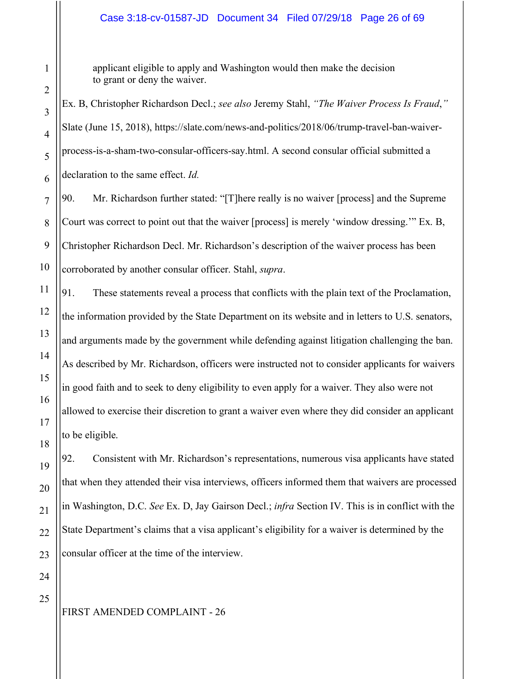applicant eligible to apply and Washington would then make the decision to grant or deny the waiver.

Ex. B, Christopher Richardson Decl.; *see also* Jeremy Stahl, *"The Waiver Process Is Fraud*,*"* Slate (June 15, 2018), https://slate.com/news-and-politics/2018/06/trump-travel-ban-waiverprocess-is-a-sham-two-consular-officers-say.html. A second consular official submitted a declaration to the same effect. *Id.*

9 10 90. Mr. Richardson further stated: "[T]here really is no waiver [process] and the Supreme Court was correct to point out that the waiver [process] is merely 'window dressing.'" Ex. B, Christopher Richardson Decl. Mr. Richardson's description of the waiver process has been corroborated by another consular officer. Stahl, *supra*.

91. These statements reveal a process that conflicts with the plain text of the Proclamation, the information provided by the State Department on its website and in letters to U.S. senators, and arguments made by the government while defending against litigation challenging the ban. As described by Mr. Richardson, officers were instructed not to consider applicants for waivers in good faith and to seek to deny eligibility to even apply for a waiver. They also were not allowed to exercise their discretion to grant a waiver even where they did consider an applicant to be eligible.

92. Consistent with Mr. Richardson's representations, numerous visa applicants have stated that when they attended their visa interviews, officers informed them that waivers are processed in Washington, D.C. *See* Ex. D, Jay Gairson Decl.; *infra* Section IV. This is in conflict with the State Department's claims that a visa applicant's eligibility for a waiver is determined by the consular officer at the time of the interview.

25

1

2

3

4

5

6

7

8

11

12

13

14

15

16

17

18

19

20

21

22

23

24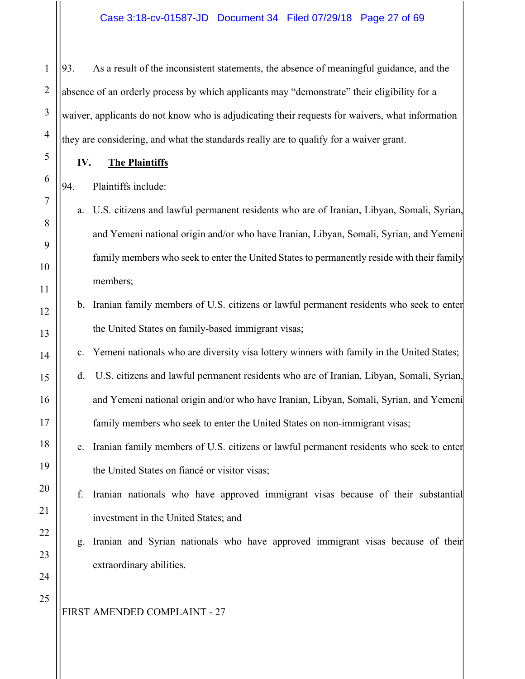93. As a result of the inconsistent statements, the absence of meaningful guidance, and the absence of an orderly process by which applicants may "demonstrate" their eligibility for a waiver, applicants do not know who is adjudicating their requests for waivers, what information they are considering, and what the standards really are to qualify for a waiver grant.

**IV. The Plaintiffs**

1

2

3

4

5

6

7

8

9

10

11

12

13

14

15

16

17

18

19

20

21

22

23

24

94. Plaintiffs include:

- a. U.S. citizens and lawful permanent residents who are of Iranian, Libyan, Somali, Syrian, and Yemeni national origin and/or who have Iranian, Libyan, Somali, Syrian, and Yemeni family members who seek to enter the United States to permanently reside with their family members;
- b. Iranian family members of U.S. citizens or lawful permanent residents who seek to enter the United States on family-based immigrant visas;
- c. Yemeni nationals who are diversity visa lottery winners with family in the United States;
- d. U.S. citizens and lawful permanent residents who are of Iranian, Libyan, Somali, Syrian, and Yemeni national origin and/or who have Iranian, Libyan, Somali, Syrian, and Yemeni family members who seek to enter the United States on non-immigrant visas;
- e. Iranian family members of U.S. citizens or lawful permanent residents who seek to enter the United States on fiancé or visitor visas;
- f. Iranian nationals who have approved immigrant visas because of their substantial investment in the United States; and
	- g. Iranian and Syrian nationals who have approved immigrant visas because of their extraordinary abilities.

25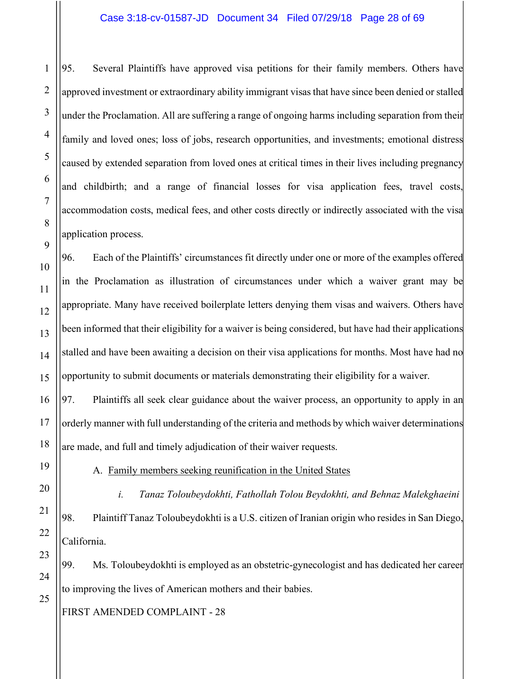95. Several Plaintiffs have approved visa petitions for their family members. Others have approved investment or extraordinary ability immigrant visas that have since been denied or stalled under the Proclamation. All are suffering a range of ongoing harms including separation from their family and loved ones; loss of jobs, research opportunities, and investments; emotional distress caused by extended separation from loved ones at critical times in their lives including pregnancy and childbirth; and a range of financial losses for visa application fees, travel costs, accommodation costs, medical fees, and other costs directly or indirectly associated with the visa application process.

96. Each of the Plaintiffs' circumstances fit directly under one or more of the examples offered in the Proclamation as illustration of circumstances under which a waiver grant may be appropriate. Many have received boilerplate letters denying them visas and waivers. Others have been informed that their eligibility for a waiver is being considered, but have had their applications stalled and have been awaiting a decision on their visa applications for months. Most have had no opportunity to submit documents or materials demonstrating their eligibility for a waiver.

97. Plaintiffs all seek clear guidance about the waiver process, an opportunity to apply in an orderly manner with full understanding of the criteria and methods by which waiver determinations are made, and full and timely adjudication of their waiver requests.

A. Family members seeking reunification in the United States

*i. Tanaz Toloubeydokhti, Fathollah Tolou Beydokhti, and Behnaz Malekghaeini* 98. Plaintiff Tanaz Toloubeydokhti is a U.S. citizen of Iranian origin who resides in San Diego, California.

99. Ms. Toloubeydokhti is employed as an obstetric-gynecologist and has dedicated her career to improving the lives of American mothers and their babies.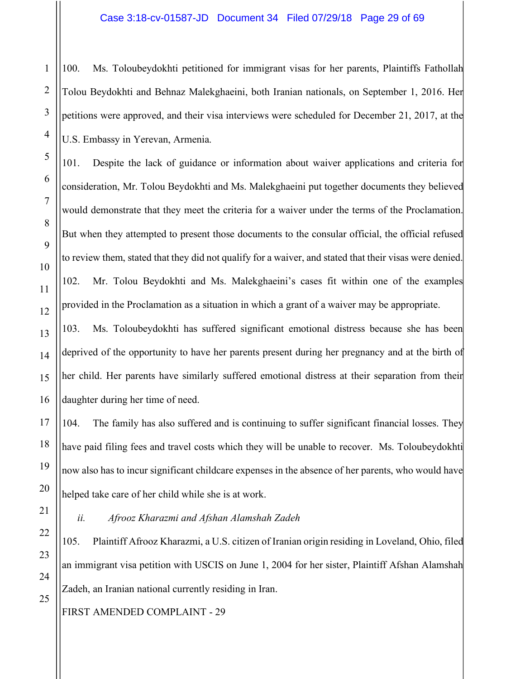100. Ms. Toloubeydokhti petitioned for immigrant visas for her parents, Plaintiffs Fathollah Tolou Beydokhti and Behnaz Malekghaeini, both Iranian nationals, on September 1, 2016. Her petitions were approved, and their visa interviews were scheduled for December 21, 2017, at the U.S. Embassy in Yerevan, Armenia.

101. Despite the lack of guidance or information about waiver applications and criteria for consideration, Mr. Tolou Beydokhti and Ms. Malekghaeini put together documents they believed would demonstrate that they meet the criteria for a waiver under the terms of the Proclamation. But when they attempted to present those documents to the consular official, the official refused to review them, stated that they did not qualify for a waiver, and stated that their visas were denied. 102. Mr. Tolou Beydokhti and Ms. Malekghaeini's cases fit within one of the examples provided in the Proclamation as a situation in which a grant of a waiver may be appropriate.

103. Ms. Toloubeydokhti has suffered significant emotional distress because she has been deprived of the opportunity to have her parents present during her pregnancy and at the birth of her child. Her parents have similarly suffered emotional distress at their separation from their daughter during her time of need.

104. The family has also suffered and is continuing to suffer significant financial losses. They have paid filing fees and travel costs which they will be unable to recover. Ms. Toloubeydokhti now also has to incur significant childcare expenses in the absence of her parents, who would have helped take care of her child while she is at work.

# *ii. Afrooz Kharazmi and Afshan Alamshah Zadeh*

105. Plaintiff Afrooz Kharazmi, a U.S. citizen of Iranian origin residing in Loveland, Ohio, filed an immigrant visa petition with USCIS on June 1, 2004 for her sister, Plaintiff Afshan Alamshah Zadeh, an Iranian national currently residing in Iran.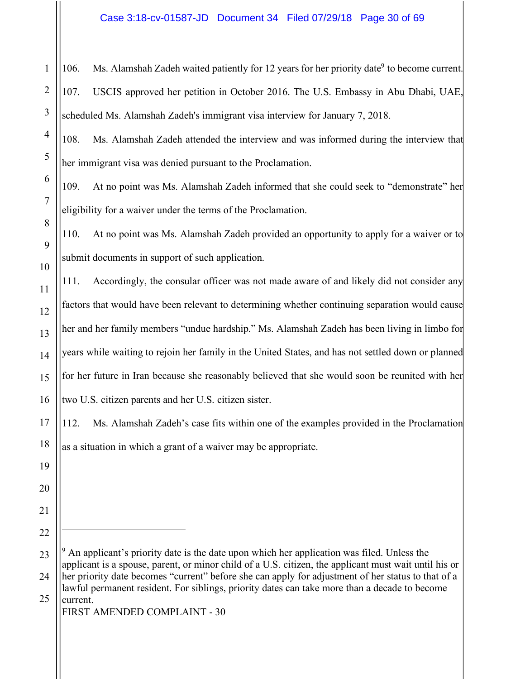#### Case 3:18-cv-01587-JD Document 34 Filed 07/29/18 Page 30 of 69

 $\overline{a}$ 

106. Ms. Alamshah Zadeh waited patiently for 12 years for her priority date<sup>9</sup> to become current. 107. USCIS approved her petition in October 2016. The U.S. Embassy in Abu Dhabi, UAE, scheduled Ms. Alamshah Zadeh's immigrant visa interview for January 7, 2018.

108. Ms. Alamshah Zadeh attended the interview and was informed during the interview that her immigrant visa was denied pursuant to the Proclamation.

109. At no point was Ms. Alamshah Zadeh informed that she could seek to "demonstrate" her eligibility for a waiver under the terms of the Proclamation.

110. At no point was Ms. Alamshah Zadeh provided an opportunity to apply for a waiver or to submit documents in support of such application.

111. Accordingly, the consular officer was not made aware of and likely did not consider any factors that would have been relevant to determining whether continuing separation would cause her and her family members "undue hardship." Ms. Alamshah Zadeh has been living in limbo for years while waiting to rejoin her family in the United States, and has not settled down or planned for her future in Iran because she reasonably believed that she would soon be reunited with her two U.S. citizen parents and her U.S. citizen sister.

112. Ms. Alamshah Zadeh's case fits within one of the examples provided in the Proclamation as a situation in which a grant of a waiver may be appropriate.

 $9$  An applicant's priority date is the date upon which her application was filed. Unless the applicant is a spouse, parent, or minor child of a U.S. citizen, the applicant must wait until his or her priority date becomes "current" before she can apply for adjustment of her status to that of a lawful permanent resident. For siblings, priority dates can take more than a decade to become current.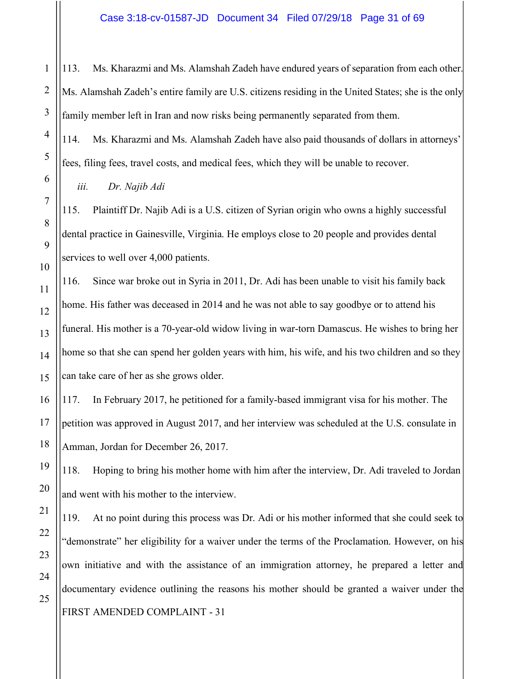113. Ms. Kharazmi and Ms. Alamshah Zadeh have endured years of separation from each other. Ms. Alamshah Zadeh's entire family are U.S. citizens residing in the United States; she is the only family member left in Iran and now risks being permanently separated from them.

114. Ms. Kharazmi and Ms. Alamshah Zadeh have also paid thousands of dollars in attorneys' fees, filing fees, travel costs, and medical fees, which they will be unable to recover.

*iii. Dr. Najib Adi*

115. Plaintiff Dr. Najib Adi is a U.S. citizen of Syrian origin who owns a highly successful dental practice in Gainesville, Virginia. He employs close to 20 people and provides dental services to well over 4,000 patients.

116. Since war broke out in Syria in 2011, Dr. Adi has been unable to visit his family back home. His father was deceased in 2014 and he was not able to say goodbye or to attend his funeral. His mother is a 70-year-old widow living in war-torn Damascus. He wishes to bring her home so that she can spend her golden years with him, his wife, and his two children and so they can take care of her as she grows older.

117. In February 2017, he petitioned for a family-based immigrant visa for his mother. The petition was approved in August 2017, and her interview was scheduled at the U.S. consulate in Amman, Jordan for December 26, 2017.

118. Hoping to bring his mother home with him after the interview, Dr. Adi traveled to Jordan and went with his mother to the interview.

FIRST AMENDED COMPLAINT - 31 119. At no point during this process was Dr. Adi or his mother informed that she could seek to "demonstrate" her eligibility for a waiver under the terms of the Proclamation. However, on his own initiative and with the assistance of an immigration attorney, he prepared a letter and documentary evidence outlining the reasons his mother should be granted a waiver under the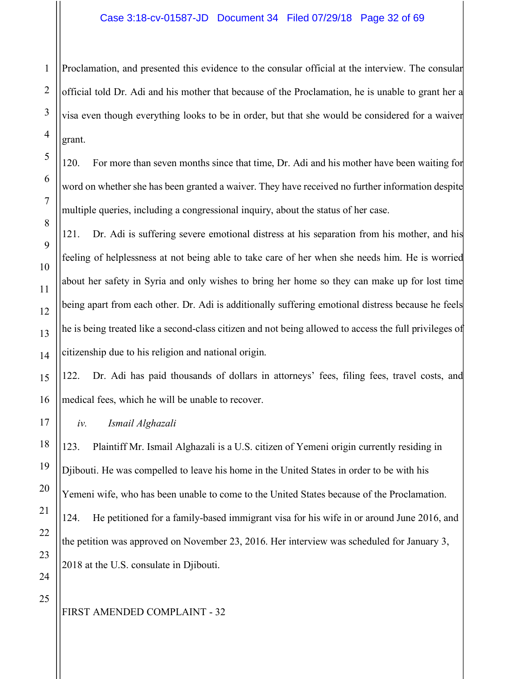#### Case 3:18-cv-01587-JD Document 34 Filed 07/29/18 Page 32 of 69

Proclamation, and presented this evidence to the consular official at the interview. The consular official told Dr. Adi and his mother that because of the Proclamation, he is unable to grant her a visa even though everything looks to be in order, but that she would be considered for a waiver grant.

120. For more than seven months since that time, Dr. Adi and his mother have been waiting for word on whether she has been granted a waiver. They have received no further information despite multiple queries, including a congressional inquiry, about the status of her case.

121. Dr. Adi is suffering severe emotional distress at his separation from his mother, and his feeling of helplessness at not being able to take care of her when she needs him. He is worried about her safety in Syria and only wishes to bring her home so they can make up for lost time being apart from each other. Dr. Adi is additionally suffering emotional distress because he feels he is being treated like a second-class citizen and not being allowed to access the full privileges of citizenship due to his religion and national origin.

122. Dr. Adi has paid thousands of dollars in attorneys' fees, filing fees, travel costs, and medical fees, which he will be unable to recover.

*iv. Ismail Alghazali*

123. Plaintiff Mr. Ismail Alghazali is a U.S. citizen of Yemeni origin currently residing in Djibouti. He was compelled to leave his home in the United States in order to be with his Yemeni wife, who has been unable to come to the United States because of the Proclamation. 124. He petitioned for a family-based immigrant visa for his wife in or around June 2016, and the petition was approved on November 23, 2016. Her interview was scheduled for January 3, 2018 at the U.S. consulate in Djibouti.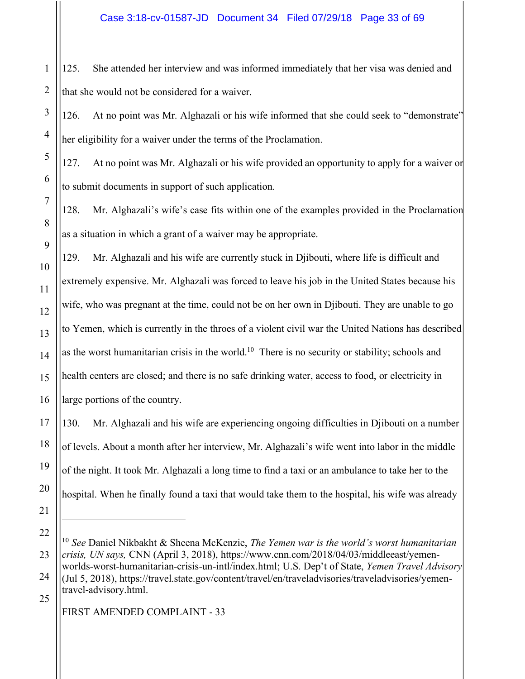1 125. She attended her interview and was informed immediately that her visa was denied and that she would not be considered for a waiver.

126. At no point was Mr. Alghazali or his wife informed that she could seek to "demonstrate" her eligibility for a waiver under the terms of the Proclamation.

127. At no point was Mr. Alghazali or his wife provided an opportunity to apply for a waiver or to submit documents in support of such application.

128. Mr. Alghazali's wife's case fits within one of the examples provided in the Proclamation as a situation in which a grant of a waiver may be appropriate.

129. Mr. Alghazali and his wife are currently stuck in Djibouti, where life is difficult and extremely expensive. Mr. Alghazali was forced to leave his job in the United States because his wife, who was pregnant at the time, could not be on her own in Djibouti. They are unable to go to Yemen, which is currently in the throes of a violent civil war the United Nations has described as the worst humanitarian crisis in the world.<sup>10</sup> There is no security or stability; schools and health centers are closed; and there is no safe drinking water, access to food, or electricity in large portions of the country.

130. Mr. Alghazali and his wife are experiencing ongoing difficulties in Djibouti on a number of levels. About a month after her interview, Mr. Alghazali's wife went into labor in the middle of the night. It took Mr. Alghazali a long time to find a taxi or an ambulance to take her to the hospital. When he finally found a taxi that would take them to the hospital, his wife was already

FIRST AMENDED COMPLAINT - 33

<sup>10</sup> *See* Daniel Nikbakht & Sheena McKenzie, *The Yemen war is the world's worst humanitarian crisis, UN says,* CNN (April 3, 2018), https://www.cnn.com/2018/04/03/middleeast/yemenworlds-worst-humanitarian-crisis-un-intl/index.html; U.S. Dep't of State, *Yemen Travel Advisory* (Jul 5, 2018), https://travel.state.gov/content/travel/en/traveladvisories/traveladvisories/yementravel-advisory.html.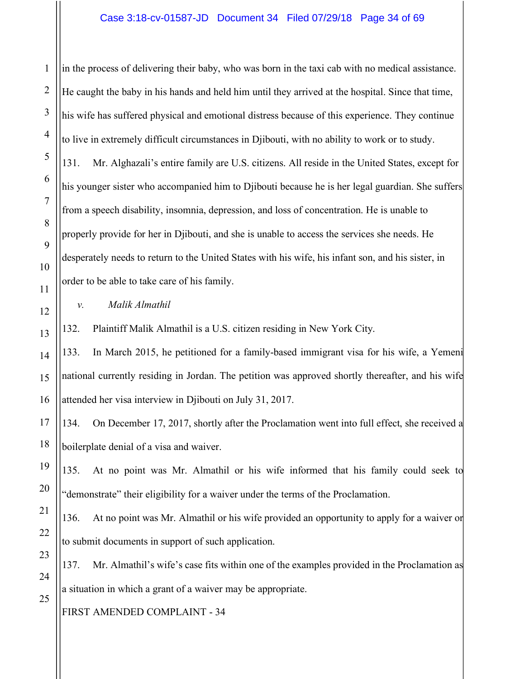in the process of delivering their baby, who was born in the taxi cab with no medical assistance. He caught the baby in his hands and held him until they arrived at the hospital. Since that time, his wife has suffered physical and emotional distress because of this experience. They continue to live in extremely difficult circumstances in Djibouti, with no ability to work or to study. 131. Mr. Alghazali's entire family are U.S. citizens. All reside in the United States, except for his younger sister who accompanied him to Djibouti because he is her legal guardian. She suffers from a speech disability, insomnia, depression, and loss of concentration. He is unable to properly provide for her in Djibouti, and she is unable to access the services she needs. He desperately needs to return to the United States with his wife, his infant son, and his sister, in order to be able to take care of his family.

*v. Malik Almathil*

132. Plaintiff Malik Almathil is a U.S. citizen residing in New York City.

133. In March 2015, he petitioned for a family-based immigrant visa for his wife, a Yemeni national currently residing in Jordan. The petition was approved shortly thereafter, and his wife attended her visa interview in Djibouti on July 31, 2017.

134. On December 17, 2017, shortly after the Proclamation went into full effect, she received a boilerplate denial of a visa and waiver.

135. At no point was Mr. Almathil or his wife informed that his family could seek to "demonstrate" their eligibility for a waiver under the terms of the Proclamation.

136. At no point was Mr. Almathil or his wife provided an opportunity to apply for a waiver or to submit documents in support of such application.

137. Mr. Almathil's wife's case fits within one of the examples provided in the Proclamation as a situation in which a grant of a waiver may be appropriate.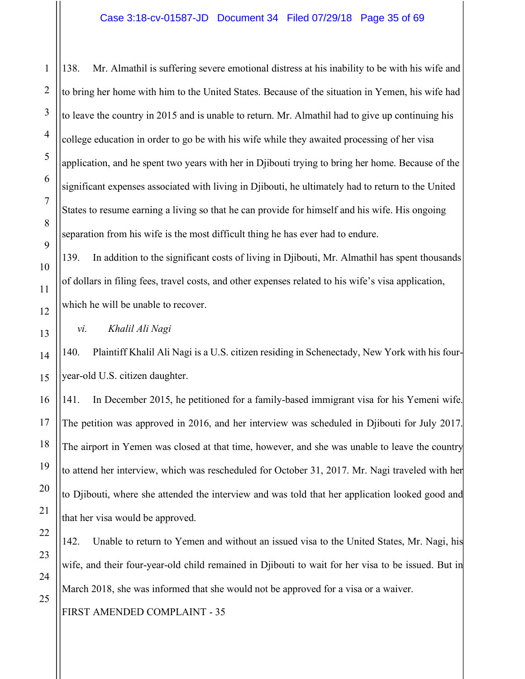138. Mr. Almathil is suffering severe emotional distress at his inability to be with his wife and to bring her home with him to the United States. Because of the situation in Yemen, his wife had to leave the country in 2015 and is unable to return. Mr. Almathil had to give up continuing his college education in order to go be with his wife while they awaited processing of her visa application, and he spent two years with her in Djibouti trying to bring her home. Because of the significant expenses associated with living in Djibouti, he ultimately had to return to the United States to resume earning a living so that he can provide for himself and his wife. His ongoing separation from his wife is the most difficult thing he has ever had to endure.

139. In addition to the significant costs of living in Djibouti, Mr. Almathil has spent thousands of dollars in filing fees, travel costs, and other expenses related to his wife's visa application, which he will be unable to recover.

*vi. Khalil Ali Nagi*

140. Plaintiff Khalil Ali Nagi is a U.S. citizen residing in Schenectady, New York with his fouryear-old U.S. citizen daughter.

141. In December 2015, he petitioned for a family-based immigrant visa for his Yemeni wife. The petition was approved in 2016, and her interview was scheduled in Djibouti for July 2017. The airport in Yemen was closed at that time, however, and she was unable to leave the country to attend her interview, which was rescheduled for October 31, 2017. Mr. Nagi traveled with her to Djibouti, where she attended the interview and was told that her application looked good and that her visa would be approved.

142. Unable to return to Yemen and without an issued visa to the United States, Mr. Nagi, his wife, and their four-year-old child remained in Djibouti to wait for her visa to be issued. But in March 2018, she was informed that she would not be approved for a visa or a waiver.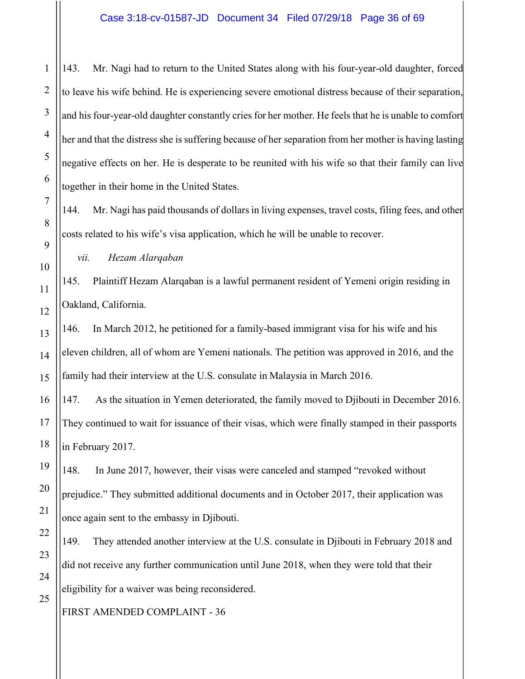143. Mr. Nagi had to return to the United States along with his four-year-old daughter, forced to leave his wife behind. He is experiencing severe emotional distress because of their separation, and his four-year-old daughter constantly cries for her mother. He feels that he is unable to comfort her and that the distress she is suffering because of her separation from her mother is having lasting negative effects on her. He is desperate to be reunited with his wife so that their family can live together in their home in the United States.

144. Mr. Nagi has paid thousands of dollars in living expenses, travel costs, filing fees, and other costs related to his wife's visa application, which he will be unable to recover.

145. Plaintiff Hezam Alarqaban is a lawful permanent resident of Yemeni origin residing in Oakland, California.

146. In March 2012, he petitioned for a family-based immigrant visa for his wife and his eleven children, all of whom are Yemeni nationals. The petition was approved in 2016, and the family had their interview at the U.S. consulate in Malaysia in March 2016.

147. As the situation in Yemen deteriorated, the family moved to Djibouti in December 2016. They continued to wait for issuance of their visas, which were finally stamped in their passports in February 2017.

148. In June 2017, however, their visas were canceled and stamped "revoked without prejudice." They submitted additional documents and in October 2017, their application was once again sent to the embassy in Djibouti.

149. They attended another interview at the U.S. consulate in Djibouti in February 2018 and did not receive any further communication until June 2018, when they were told that their eligibility for a waiver was being reconsidered.

FIRST AMENDED COMPLAINT - 36

*vii. Hezam Alarqaban*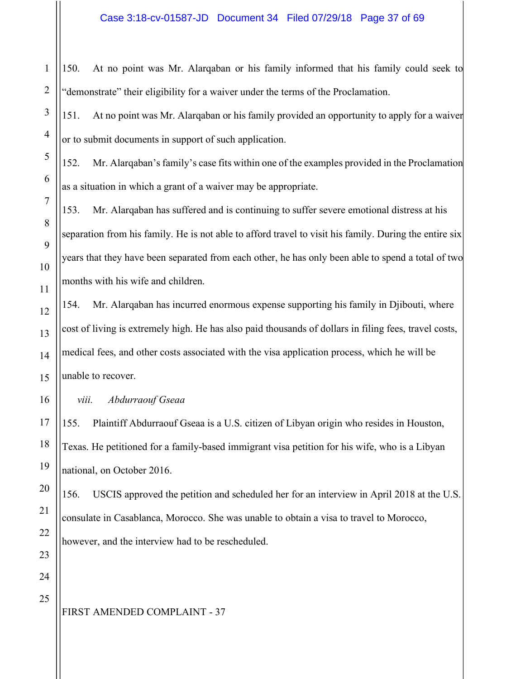150. At no point was Mr. Alarqaban or his family informed that his family could seek to "demonstrate" their eligibility for a waiver under the terms of the Proclamation.

151. At no point was Mr. Alarqaban or his family provided an opportunity to apply for a waiver or to submit documents in support of such application.

152. Mr. Alarqaban's family's case fits within one of the examples provided in the Proclamation as a situation in which a grant of a waiver may be appropriate.

153. Mr. Alarqaban has suffered and is continuing to suffer severe emotional distress at his separation from his family. He is not able to afford travel to visit his family. During the entire six years that they have been separated from each other, he has only been able to spend a total of two months with his wife and children.

154. Mr. Alarqaban has incurred enormous expense supporting his family in Djibouti, where cost of living is extremely high. He has also paid thousands of dollars in filing fees, travel costs, medical fees, and other costs associated with the visa application process, which he will be unable to recover.

*viii. Abdurraouf Gseaa* 

155. Plaintiff Abdurraouf Gseaa is a U.S. citizen of Libyan origin who resides in Houston, Texas. He petitioned for a family-based immigrant visa petition for his wife, who is a Libyan national, on October 2016.

156. USCIS approved the petition and scheduled her for an interview in April 2018 at the U.S. consulate in Casablanca, Morocco. She was unable to obtain a visa to travel to Morocco, however, and the interview had to be rescheduled.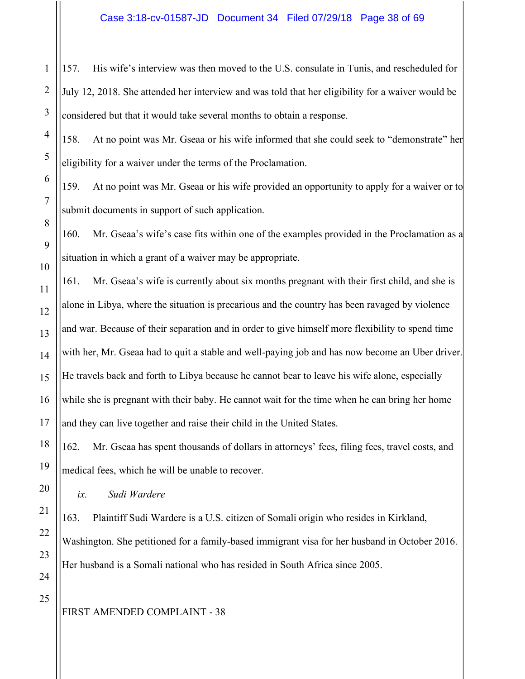157. His wife's interview was then moved to the U.S. consulate in Tunis, and rescheduled for July 12, 2018. She attended her interview and was told that her eligibility for a waiver would be considered but that it would take several months to obtain a response.

158. At no point was Mr. Gseaa or his wife informed that she could seek to "demonstrate" her eligibility for a waiver under the terms of the Proclamation.

159. At no point was Mr. Gseaa or his wife provided an opportunity to apply for a waiver or to submit documents in support of such application.

160. Mr. Gseaa's wife's case fits within one of the examples provided in the Proclamation as a situation in which a grant of a waiver may be appropriate.

161. Mr. Gseaa's wife is currently about six months pregnant with their first child, and she is alone in Libya, where the situation is precarious and the country has been ravaged by violence and war. Because of their separation and in order to give himself more flexibility to spend time with her, Mr. Gseaa had to quit a stable and well-paying job and has now become an Uber driver. He travels back and forth to Libya because he cannot bear to leave his wife alone, especially while she is pregnant with their baby. He cannot wait for the time when he can bring her home and they can live together and raise their child in the United States.

162. Mr. Gseaa has spent thousands of dollars in attorneys' fees, filing fees, travel costs, and medical fees, which he will be unable to recover.

*ix. Sudi Wardere*

163. Plaintiff Sudi Wardere is a U.S. citizen of Somali origin who resides in Kirkland, Washington. She petitioned for a family-based immigrant visa for her husband in October 2016. Her husband is a Somali national who has resided in South Africa since 2005.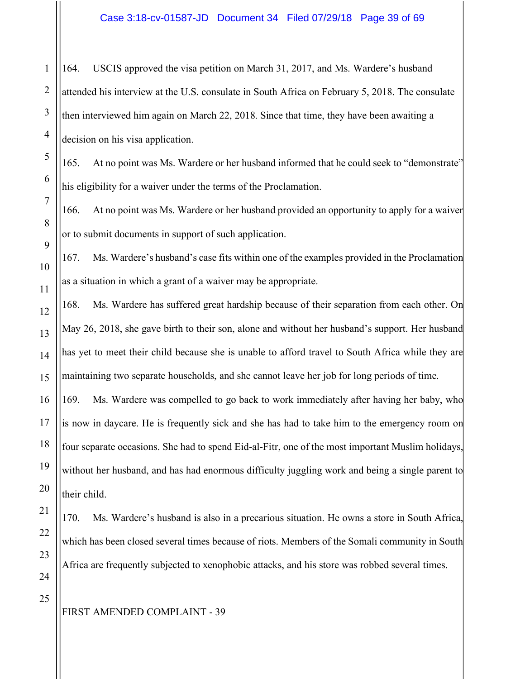164. USCIS approved the visa petition on March 31, 2017, and Ms. Wardere's husband attended his interview at the U.S. consulate in South Africa on February 5, 2018. The consulate then interviewed him again on March 22, 2018. Since that time, they have been awaiting a decision on his visa application.

165. At no point was Ms. Wardere or her husband informed that he could seek to "demonstrate" his eligibility for a waiver under the terms of the Proclamation.

166. At no point was Ms. Wardere or her husband provided an opportunity to apply for a waiver or to submit documents in support of such application.

167. Ms. Wardere's husband's case fits within one of the examples provided in the Proclamation as a situation in which a grant of a waiver may be appropriate.

168. Ms. Wardere has suffered great hardship because of their separation from each other. On May 26, 2018, she gave birth to their son, alone and without her husband's support. Her husband has yet to meet their child because she is unable to afford travel to South Africa while they are maintaining two separate households, and she cannot leave her job for long periods of time.

169. Ms. Wardere was compelled to go back to work immediately after having her baby, who is now in daycare. He is frequently sick and she has had to take him to the emergency room on four separate occasions. She had to spend Eid-al-Fitr, one of the most important Muslim holidays, without her husband, and has had enormous difficulty juggling work and being a single parent to their child.

170. Ms. Wardere's husband is also in a precarious situation. He owns a store in South Africa, which has been closed several times because of riots. Members of the Somali community in South Africa are frequently subjected to xenophobic attacks, and his store was robbed several times.

1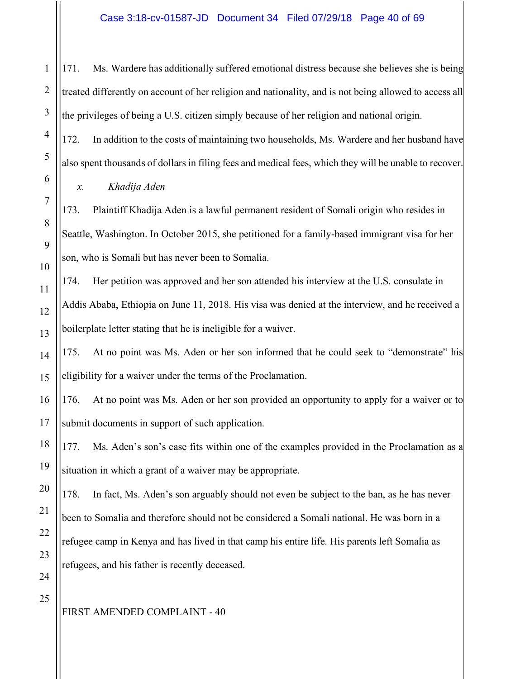171. Ms. Wardere has additionally suffered emotional distress because she believes she is being treated differently on account of her religion and nationality, and is not being allowed to access all the privileges of being a U.S. citizen simply because of her religion and national origin.

172. In addition to the costs of maintaining two households, Ms. Wardere and her husband have also spent thousands of dollars in filing fees and medical fees, which they will be unable to recover.

*x. Khadija Aden*

173. Plaintiff Khadija Aden is a lawful permanent resident of Somali origin who resides in Seattle, Washington. In October 2015, she petitioned for a family-based immigrant visa for her son, who is Somali but has never been to Somalia.

174. Her petition was approved and her son attended his interview at the U.S. consulate in Addis Ababa, Ethiopia on June 11, 2018. His visa was denied at the interview, and he received a boilerplate letter stating that he is ineligible for a waiver.

175. At no point was Ms. Aden or her son informed that he could seek to "demonstrate" his eligibility for a waiver under the terms of the Proclamation.

176. At no point was Ms. Aden or her son provided an opportunity to apply for a waiver or to submit documents in support of such application.

177. Ms. Aden's son's case fits within one of the examples provided in the Proclamation as a situation in which a grant of a waiver may be appropriate.

178. In fact, Ms. Aden's son arguably should not even be subject to the ban, as he has never been to Somalia and therefore should not be considered a Somali national. He was born in a refugee camp in Kenya and has lived in that camp his entire life. His parents left Somalia as refugees, and his father is recently deceased.

1

2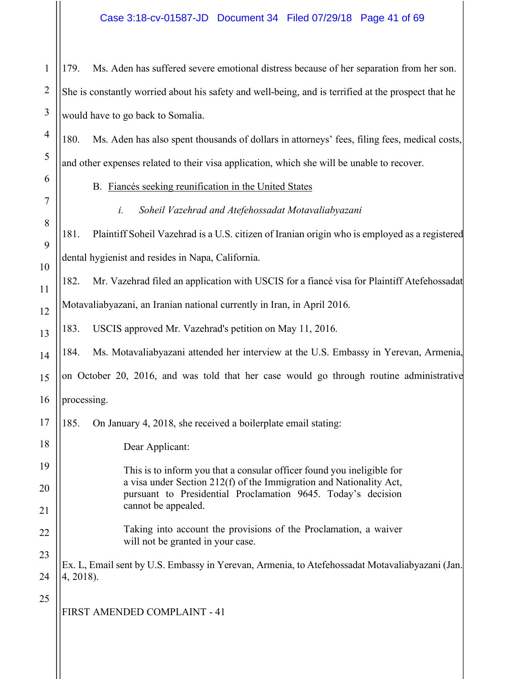#### Case 3:18-cv-01587-JD Document 34 Filed 07/29/18 Page 41 of 69

179. Ms. Aden has suffered severe emotional distress because of her separation from her son. She is constantly worried about his safety and well-being, and is terrified at the prospect that he would have to go back to Somalia.

180. Ms. Aden has also spent thousands of dollars in attorneys' fees, filing fees, medical costs, and other expenses related to their visa application, which she will be unable to recover.

B. Fiancés seeking reunification in the United States

*i. Soheil Vazehrad and Atefehossadat Motavaliabyazani*

181. Plaintiff Soheil Vazehrad is a U.S. citizen of Iranian origin who is employed as a registered dental hygienist and resides in Napa, California.

182. Mr. Vazehrad filed an application with USCIS for a fiancé visa for Plaintiff Atefehossadat Motavaliabyazani, an Iranian national currently in Iran, in April 2016.

183. USCIS approved Mr. Vazehrad's petition on May 11, 2016.

184. Ms. Motavaliabyazani attended her interview at the U.S. Embassy in Yerevan, Armenia,

on October 20, 2016, and was told that her case would go through routine administrative

processing.

185. On January 4, 2018, she received a boilerplate email stating:

Dear Applicant:

This is to inform you that a consular officer found you ineligible for a visa under Section 212(f) of the Immigration and Nationality Act, pursuant to Presidential Proclamation 9645. Today's decision cannot be appealed.

Taking into account the provisions of the Proclamation, a waiver will not be granted in your case.

Ex. L, Email sent by U.S. Embassy in Yerevan, Armenia, to Atefehossadat Motavaliabyazani (Jan. 4, 2018).

25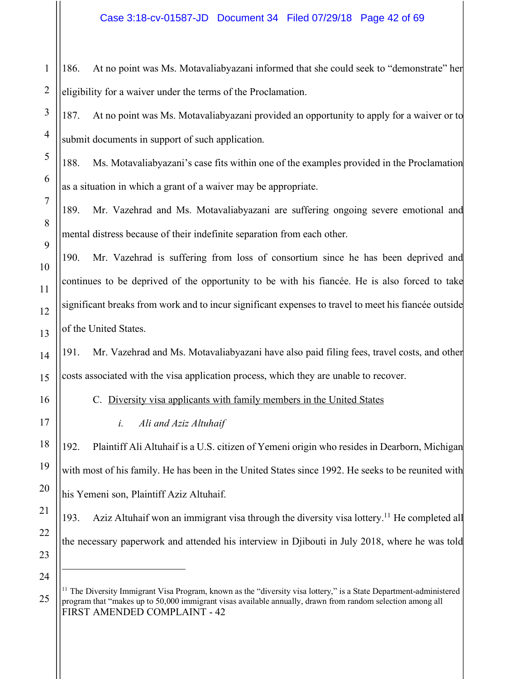186. At no point was Ms. Motavaliabyazani informed that she could seek to "demonstrate" her eligibility for a waiver under the terms of the Proclamation.

187. At no point was Ms. Motavaliabyazani provided an opportunity to apply for a waiver or to submit documents in support of such application.

188. Ms. Motavaliabyazani's case fits within one of the examples provided in the Proclamation as a situation in which a grant of a waiver may be appropriate.

189. Mr. Vazehrad and Ms. Motavaliabyazani are suffering ongoing severe emotional and mental distress because of their indefinite separation from each other.

190. Mr. Vazehrad is suffering from loss of consortium since he has been deprived and continues to be deprived of the opportunity to be with his fiancée. He is also forced to take significant breaks from work and to incur significant expenses to travel to meet his fiancée outside of the United States.

191. Mr. Vazehrad and Ms. Motavaliabyazani have also paid filing fees, travel costs, and other costs associated with the visa application process, which they are unable to recover.

C. Diversity visa applicants with family members in the United States

*i. Ali and Aziz Altuhaif*

192. Plaintiff Ali Altuhaif is a U.S. citizen of Yemeni origin who resides in Dearborn, Michigan with most of his family. He has been in the United States since 1992. He seeks to be reunited with his Yemeni son, Plaintiff Aziz Altuhaif.

193. Aziz Altuhaif won an immigrant visa through the diversity visa lottery.<sup>11</sup> He completed all the necessary paperwork and attended his interview in Djibouti in July 2018, where he was told

FIRST AMENDED COMPLAINT - 42 <sup>11</sup> The Diversity Immigrant Visa Program, known as the "diversity visa lottery," is a State Department-administered program that "makes up to 50,000 immigrant visas available annually, drawn from random selection among all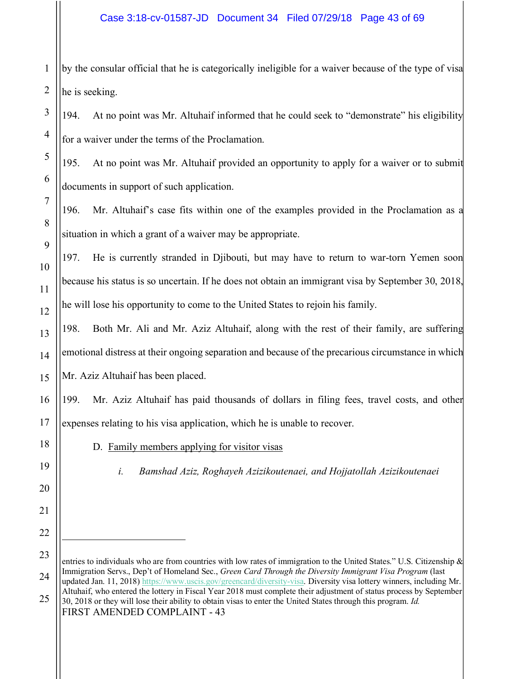#### Case 3:18-cv-01587-JD Document 34 Filed 07/29/18 Page 43 of 69

by the consular official that he is categorically ineligible for a waiver because of the type of visa he is seeking.

194. At no point was Mr. Altuhaif informed that he could seek to "demonstrate" his eligibility for a waiver under the terms of the Proclamation.

195. At no point was Mr. Altuhaif provided an opportunity to apply for a waiver or to submit documents in support of such application.

196. Mr. Altuhaif's case fits within one of the examples provided in the Proclamation as a situation in which a grant of a waiver may be appropriate.

197. He is currently stranded in Djibouti, but may have to return to war-torn Yemen soon because his status is so uncertain. If he does not obtain an immigrant visa by September 30, 2018, he will lose his opportunity to come to the United States to rejoin his family.

198. Both Mr. Ali and Mr. Aziz Altuhaif, along with the rest of their family, are suffering emotional distress at their ongoing separation and because of the precarious circumstance in which Mr. Aziz Altuhaif has been placed.

199. Mr. Aziz Altuhaif has paid thousands of dollars in filing fees, travel costs, and other expenses relating to his visa application, which he is unable to recover.

D. Family members applying for visitor visas

*i. Bamshad Aziz, Roghayeh Azizikoutenaei, and Hojjatollah Azizikoutenaei*

FIRST AMENDED COMPLAINT - 43

entries to individuals who are from countries with low rates of immigration to the United States." U.S. Citizenship & Immigration Servs., Dep't of Homeland Sec., *Green Card Through the Diversity Immigrant Visa Program* (last updated Jan. 11, 2018) https://www.uscis.gov/greencard/diversity-visa. Diversity visa lottery winners, including Mr. Altuhaif, who entered the lottery in Fiscal Year 2018 must complete their adjustment of status process by September 30, 2018 or they will lose their ability to obtain visas to enter the United States through this program. *Id.*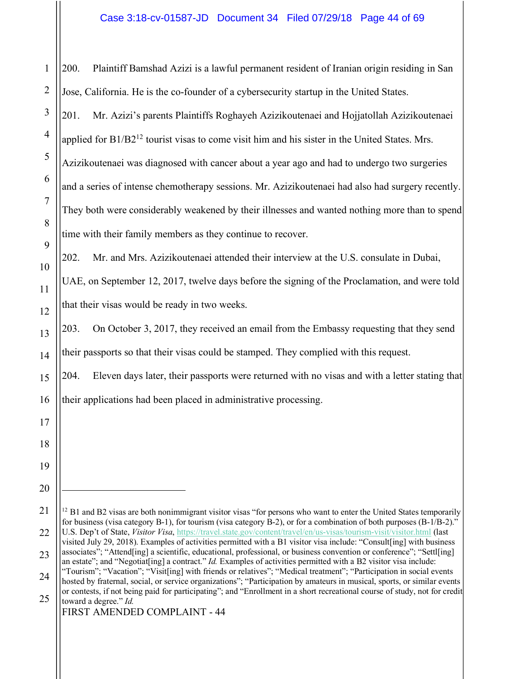200. Plaintiff Bamshad Azizi is a lawful permanent resident of Iranian origin residing in San Jose, California. He is the co-founder of a cybersecurity startup in the United States.

201. Mr. Azizi's parents Plaintiffs Roghayeh Azizikoutenaei and Hojjatollah Azizikoutenaei applied for B1/B2<sup>12</sup> tourist visas to come visit him and his sister in the United States. Mrs. Azizikoutenaei was diagnosed with cancer about a year ago and had to undergo two surgeries and a series of intense chemotherapy sessions. Mr. Azizikoutenaei had also had surgery recently. They both were considerably weakened by their illnesses and wanted nothing more than to spend time with their family members as they continue to recover.

202. Mr. and Mrs. Azizikoutenaei attended their interview at the U.S. consulate in Dubai,

UAE, on September 12, 2017, twelve days before the signing of the Proclamation, and were told that their visas would be ready in two weeks.

203. On October 3, 2017, they received an email from the Embassy requesting that they send their passports so that their visas could be stamped. They complied with this request.

204. Eleven days later, their passports were returned with no visas and with a letter stating that their applications had been placed in administrative processing.

 $12$  B1 and B2 visas are both nonimmigrant visitor visas "for persons who want to enter the United States temporarily for business (visa category B-1), for tourism (visa category B-2), or for a combination of both purposes (B-1/B-2)." U.S. Dep't of State, *Visitor Visa*, https://travel.state.gov/content/travel/en/us-visas/tourism-visit/visitor.html (last visited July 29, 2018). Examples of activities permitted with a B1 visitor visa include: "Consult[ing] with business

associates"; "Attend[ing] a scientific, educational, professional, or business convention or conference"; "Settl[ing] an estate"; and "Negotiat[ing] a contract." *Id.* Examples of activities permitted with a B2 visitor visa include:

<sup>&</sup>quot;Tourism"; "Vacation"; "Visit[ing] with friends or relatives"; "Medical treatment"; "Participation in social events hosted by fraternal, social, or service organizations"; "Participation by amateurs in musical, sports, or similar events or contests, if not being paid for participating"; and "Enrollment in a short recreational course of study, not for credit toward a degree." *Id.*

FIRST AMENDED COMPLAINT - 44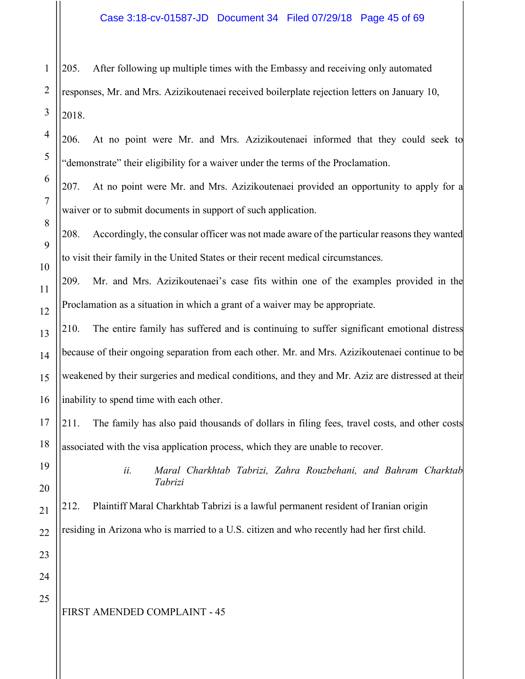205. After following up multiple times with the Embassy and receiving only automated

responses, Mr. and Mrs. Azizikoutenaei received boilerplate rejection letters on January 10, 2018.

206. At no point were Mr. and Mrs. Azizikoutenaei informed that they could seek to "demonstrate" their eligibility for a waiver under the terms of the Proclamation.

207. At no point were Mr. and Mrs. Azizikoutenaei provided an opportunity to apply for a waiver or to submit documents in support of such application.

208. Accordingly, the consular officer was not made aware of the particular reasons they wanted to visit their family in the United States or their recent medical circumstances.

209. Mr. and Mrs. Azizikoutenaei's case fits within one of the examples provided in the Proclamation as a situation in which a grant of a waiver may be appropriate.

210. The entire family has suffered and is continuing to suffer significant emotional distress because of their ongoing separation from each other. Mr. and Mrs. Azizikoutenaei continue to be weakened by their surgeries and medical conditions, and they and Mr. Aziz are distressed at their inability to spend time with each other.

211. The family has also paid thousands of dollars in filing fees, travel costs, and other costs associated with the visa application process, which they are unable to recover.

> *ii. Maral Charkhtab Tabrizi, Zahra Rouzbehani, and Bahram Charktab Tabrizi*

212. Plaintiff Maral Charkhtab Tabrizi is a lawful permanent resident of Iranian origin residing in Arizona who is married to a U.S. citizen and who recently had her first child.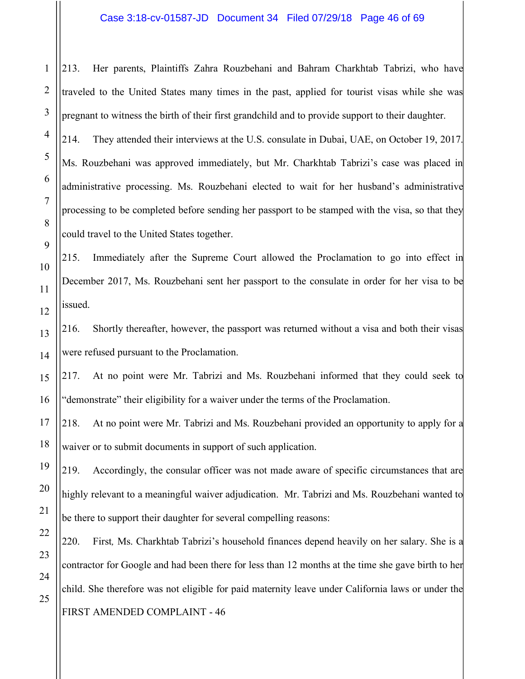213. Her parents, Plaintiffs Zahra Rouzbehani and Bahram Charkhtab Tabrizi, who have traveled to the United States many times in the past, applied for tourist visas while she was pregnant to witness the birth of their first grandchild and to provide support to their daughter.

214. They attended their interviews at the U.S. consulate in Dubai, UAE, on October 19, 2017. Ms. Rouzbehani was approved immediately, but Mr. Charkhtab Tabrizi's case was placed in administrative processing. Ms. Rouzbehani elected to wait for her husband's administrative processing to be completed before sending her passport to be stamped with the visa, so that they could travel to the United States together.

215. Immediately after the Supreme Court allowed the Proclamation to go into effect in December 2017, Ms. Rouzbehani sent her passport to the consulate in order for her visa to be issued.

216. Shortly thereafter, however, the passport was returned without a visa and both their visas were refused pursuant to the Proclamation.

217. At no point were Mr. Tabrizi and Ms. Rouzbehani informed that they could seek to "demonstrate" their eligibility for a waiver under the terms of the Proclamation.

218. At no point were Mr. Tabrizi and Ms. Rouzbehani provided an opportunity to apply for a waiver or to submit documents in support of such application.

219. Accordingly, the consular officer was not made aware of specific circumstances that are highly relevant to a meaningful waiver adjudication. Mr. Tabrizi and Ms. Rouzbehani wanted to be there to support their daughter for several compelling reasons:

FIRST AMENDED COMPLAINT - 46 220. First*,* Ms. Charkhtab Tabrizi's household finances depend heavily on her salary. She is a contractor for Google and had been there for less than 12 months at the time she gave birth to her child. She therefore was not eligible for paid maternity leave under California laws or under the

1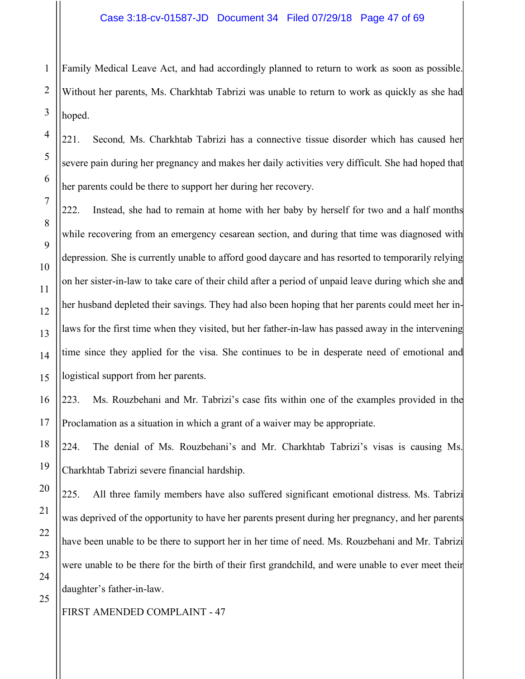1 Family Medical Leave Act, and had accordingly planned to return to work as soon as possible. Without her parents, Ms. Charkhtab Tabrizi was unable to return to work as quickly as she had hoped.

221. Second*,* Ms. Charkhtab Tabrizi has a connective tissue disorder which has caused her severe pain during her pregnancy and makes her daily activities very difficult. She had hoped that her parents could be there to support her during her recovery.

222. Instead, she had to remain at home with her baby by herself for two and a half months while recovering from an emergency cesarean section, and during that time was diagnosed with depression. She is currently unable to afford good daycare and has resorted to temporarily relying on her sister-in-law to take care of their child after a period of unpaid leave during which she and her husband depleted their savings. They had also been hoping that her parents could meet her inlaws for the first time when they visited, but her father-in-law has passed away in the intervening time since they applied for the visa. She continues to be in desperate need of emotional and logistical support from her parents.

223. Ms. Rouzbehani and Mr. Tabrizi's case fits within one of the examples provided in the Proclamation as a situation in which a grant of a waiver may be appropriate.

224. The denial of Ms. Rouzbehani's and Mr. Charkhtab Tabrizi's visas is causing Ms. Charkhtab Tabrizi severe financial hardship.

225. All three family members have also suffered significant emotional distress. Ms. Tabrizi was deprived of the opportunity to have her parents present during her pregnancy, and her parents have been unable to be there to support her in her time of need. Ms. Rouzbehani and Mr. Tabrizi were unable to be there for the birth of their first grandchild, and were unable to ever meet their daughter's father-in-law.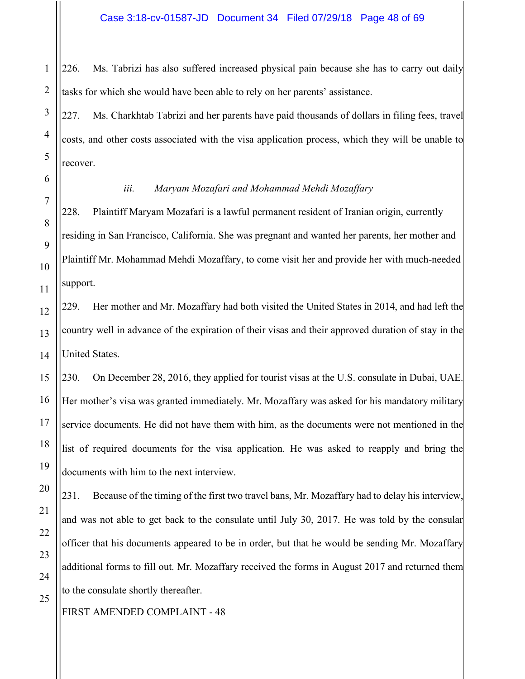226. Ms. Tabrizi has also suffered increased physical pain because she has to carry out daily tasks for which she would have been able to rely on her parents' assistance.

227. Ms. Charkhtab Tabrizi and her parents have paid thousands of dollars in filing fees, travel costs, and other costs associated with the visa application process, which they will be unable to recover.

#### *iii. Maryam Mozafari and Mohammad Mehdi Mozaffary*

228. Plaintiff Maryam Mozafari is a lawful permanent resident of Iranian origin, currently residing in San Francisco, California. She was pregnant and wanted her parents, her mother and Plaintiff Mr. Mohammad Mehdi Mozaffary, to come visit her and provide her with much-needed support.

229. Her mother and Mr. Mozaffary had both visited the United States in 2014, and had left the country well in advance of the expiration of their visas and their approved duration of stay in the United States.

230. On December 28, 2016, they applied for tourist visas at the U.S. consulate in Dubai, UAE. Her mother's visa was granted immediately. Mr. Mozaffary was asked for his mandatory military service documents. He did not have them with him, as the documents were not mentioned in the list of required documents for the visa application. He was asked to reapply and bring the documents with him to the next interview.

231. Because of the timing of the first two travel bans, Mr. Mozaffary had to delay his interview, and was not able to get back to the consulate until July 30, 2017. He was told by the consular officer that his documents appeared to be in order, but that he would be sending Mr. Mozaffary additional forms to fill out. Mr. Mozaffary received the forms in August 2017 and returned them to the consulate shortly thereafter.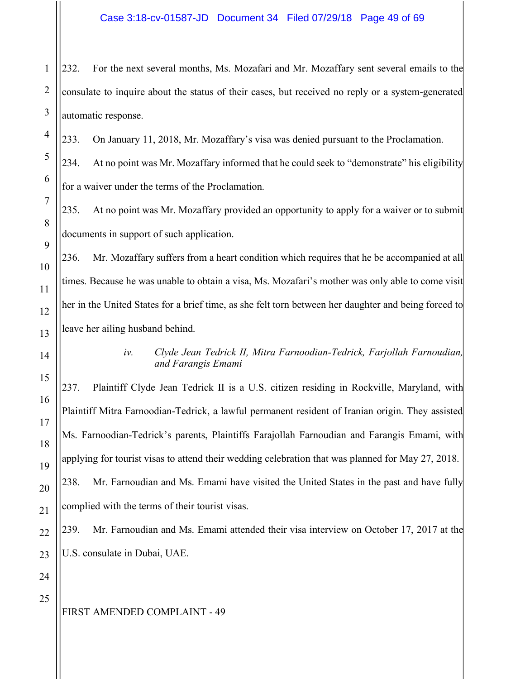232. For the next several months, Ms. Mozafari and Mr. Mozaffary sent several emails to the consulate to inquire about the status of their cases, but received no reply or a system-generated automatic response.

233. On January 11, 2018, Mr. Mozaffary's visa was denied pursuant to the Proclamation.

234. At no point was Mr. Mozaffary informed that he could seek to "demonstrate" his eligibility for a waiver under the terms of the Proclamation.

235. At no point was Mr. Mozaffary provided an opportunity to apply for a waiver or to submit documents in support of such application.

236. Mr. Mozaffary suffers from a heart condition which requires that he be accompanied at all times. Because he was unable to obtain a visa, Ms. Mozafari's mother was only able to come visit her in the United States for a brief time, as she felt torn between her daughter and being forced to leave her ailing husband behind.

*iv. Clyde Jean Tedrick II, Mitra Farnoodian-Tedrick, Farjollah Farnoudian, and Farangis Emami*

237. Plaintiff Clyde Jean Tedrick II is a U.S. citizen residing in Rockville, Maryland, with Plaintiff Mitra Farnoodian-Tedrick, a lawful permanent resident of Iranian origin. They assisted Ms. Farnoodian-Tedrick's parents, Plaintiffs Farajollah Farnoudian and Farangis Emami, with applying for tourist visas to attend their wedding celebration that was planned for May 27, 2018. 238. Mr. Farnoudian and Ms. Emami have visited the United States in the past and have fully complied with the terms of their tourist visas.

239. Mr. Farnoudian and Ms. Emami attended their visa interview on October 17, 2017 at the U.S. consulate in Dubai, UAE.

25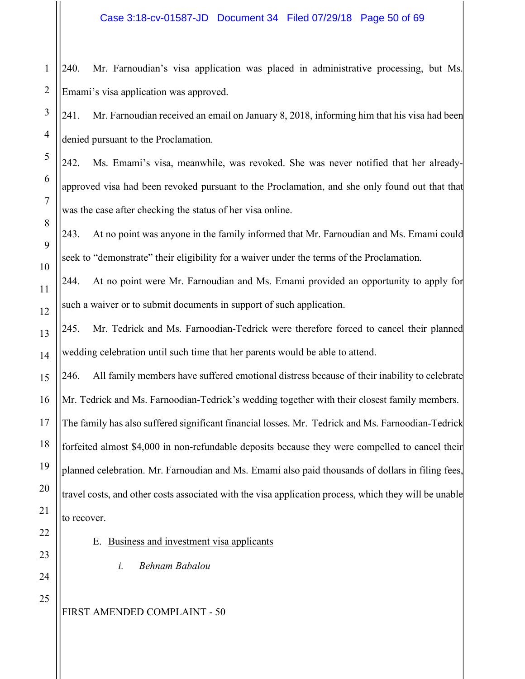240. Mr. Farnoudian's visa application was placed in administrative processing, but Ms. Emami's visa application was approved.

241. Mr. Farnoudian received an email on January 8, 2018, informing him that his visa had been denied pursuant to the Proclamation.

242. Ms. Emami's visa, meanwhile, was revoked. She was never notified that her alreadyapproved visa had been revoked pursuant to the Proclamation, and she only found out that that was the case after checking the status of her visa online.

243. At no point was anyone in the family informed that Mr. Farnoudian and Ms. Emami could seek to "demonstrate" their eligibility for a waiver under the terms of the Proclamation.

244. At no point were Mr. Farnoudian and Ms. Emami provided an opportunity to apply for such a waiver or to submit documents in support of such application.

245. Mr. Tedrick and Ms. Farnoodian-Tedrick were therefore forced to cancel their planned wedding celebration until such time that her parents would be able to attend.

246. All family members have suffered emotional distress because of their inability to celebrate Mr. Tedrick and Ms. Farnoodian-Tedrick's wedding together with their closest family members. The family has also suffered significant financial losses. Mr. Tedrick and Ms. Farnoodian-Tedrick forfeited almost \$4,000 in non-refundable deposits because they were compelled to cancel their planned celebration. Mr. Farnoudian and Ms. Emami also paid thousands of dollars in filing fees, travel costs, and other costs associated with the visa application process, which they will be unable to recover.

E. Business and investment visa applicants

*i. Behnam Babalou*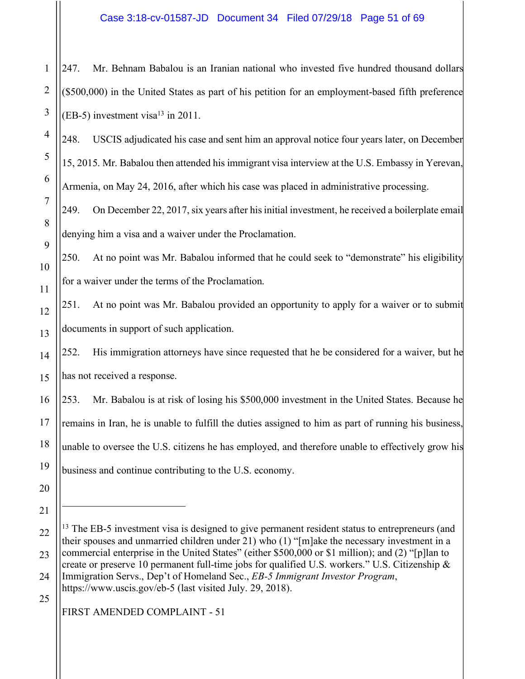247. Mr. Behnam Babalou is an Iranian national who invested five hundred thousand dollars (\$500,000) in the United States as part of his petition for an employment-based fifth preference  $(EB-5)$  investment visa<sup>13</sup> in 2011.

248. USCIS adjudicated his case and sent him an approval notice four years later, on December 15, 2015. Mr. Babalou then attended his immigrant visa interview at the U.S. Embassy in Yerevan, Armenia, on May 24, 2016, after which his case was placed in administrative processing.

249. On December 22, 2017, six years after his initial investment, he received a boilerplate email denying him a visa and a waiver under the Proclamation.

250. At no point was Mr. Babalou informed that he could seek to "demonstrate" his eligibility for a waiver under the terms of the Proclamation.

251. At no point was Mr. Babalou provided an opportunity to apply for a waiver or to submit documents in support of such application.

252. His immigration attorneys have since requested that he be considered for a waiver, but he has not received a response.

253. Mr. Babalou is at risk of losing his \$500,000 investment in the United States. Because he remains in Iran, he is unable to fulfill the duties assigned to him as part of running his business, unable to oversee the U.S. citizens he has employed, and therefore unable to effectively grow his business and continue contributing to the U.S. economy.

 $\overline{a}$ 

1

2

3

4

5

6

7

8

9

10

11

12

13

14

15

16

17

18

19

25

<sup>20</sup> 21

<sup>22</sup> 23 24 <sup>13</sup> The EB-5 investment visa is designed to give permanent resident status to entrepreneurs (and their spouses and unmarried children under 21) who (1) "[m]ake the necessary investment in a commercial enterprise in the United States" (either \$500,000 or \$1 million); and (2) "[p]lan to create or preserve 10 permanent full-time jobs for qualified U.S. workers." U.S. Citizenship & Immigration Servs., Dep't of Homeland Sec., *EB-5 Immigrant Investor Program*, https://www.uscis.gov/eb-5 (last visited July. 29, 2018).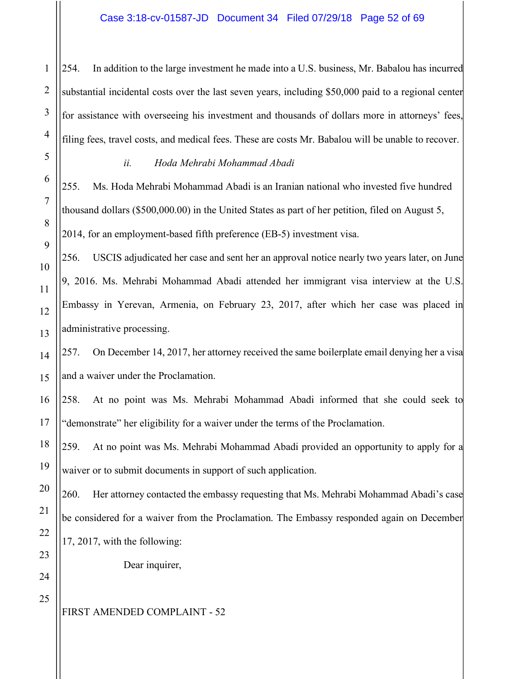254. In addition to the large investment he made into a U.S. business, Mr. Babalou has incurred substantial incidental costs over the last seven years, including \$50,000 paid to a regional center for assistance with overseeing his investment and thousands of dollars more in attorneys' fees, filing fees, travel costs, and medical fees. These are costs Mr. Babalou will be unable to recover.

1

#### *ii. Hoda Mehrabi Mohammad Abadi*

255. Ms. Hoda Mehrabi Mohammad Abadi is an Iranian national who invested five hundred thousand dollars (\$500,000.00) in the United States as part of her petition, filed on August 5, 2014, for an employment-based fifth preference (EB-5) investment visa.

256. USCIS adjudicated her case and sent her an approval notice nearly two years later, on June 9, 2016. Ms. Mehrabi Mohammad Abadi attended her immigrant visa interview at the U.S. Embassy in Yerevan, Armenia, on February 23, 2017, after which her case was placed in administrative processing.

257. On December 14, 2017, her attorney received the same boilerplate email denying her a visa and a waiver under the Proclamation.

258. At no point was Ms. Mehrabi Mohammad Abadi informed that she could seek to "demonstrate" her eligibility for a waiver under the terms of the Proclamation.

259. At no point was Ms. Mehrabi Mohammad Abadi provided an opportunity to apply for a waiver or to submit documents in support of such application.

260. Her attorney contacted the embassy requesting that Ms. Mehrabi Mohammad Abadi's case be considered for a waiver from the Proclamation. The Embassy responded again on December 17, 2017, with the following:

Dear inquirer,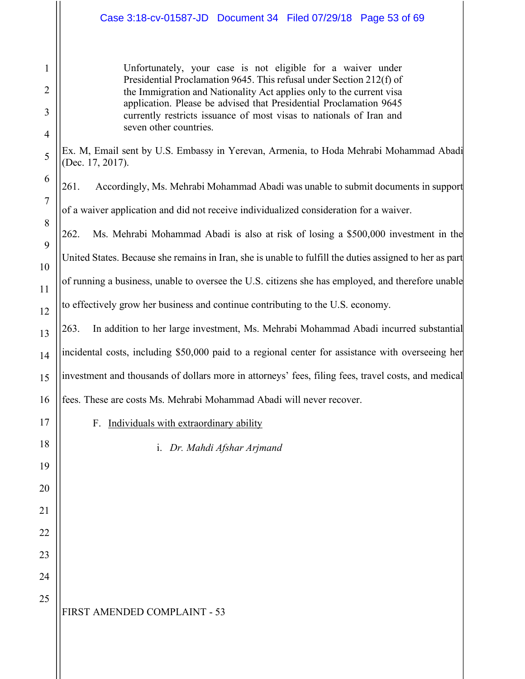Unfortunately, your case is not eligible for a waiver under Presidential Proclamation 9645. This refusal under Section 212(f) of the Immigration and Nationality Act applies only to the current visa application. Please be advised that Presidential Proclamation 9645 currently restricts issuance of most visas to nationals of Iran and seven other countries.

Ex. M, Email sent by U.S. Embassy in Yerevan, Armenia, to Hoda Mehrabi Mohammad Abadi (Dec. 17, 2017).

261. Accordingly, Ms. Mehrabi Mohammad Abadi was unable to submit documents in support of a waiver application and did not receive individualized consideration for a waiver.

262. Ms. Mehrabi Mohammad Abadi is also at risk of losing a \$500,000 investment in the United States. Because she remains in Iran, she is unable to fulfill the duties assigned to her as part of running a business, unable to oversee the U.S. citizens she has employed, and therefore unable to effectively grow her business and continue contributing to the U.S. economy.

263. In addition to her large investment, Ms. Mehrabi Mohammad Abadi incurred substantial incidental costs, including \$50,000 paid to a regional center for assistance with overseeing her investment and thousands of dollars more in attorneys' fees, filing fees, travel costs, and medical fees. These are costs Ms. Mehrabi Mohammad Abadi will never recover.

F. Individuals with extraordinary ability

i. *Dr. Mahdi Afshar Arjmand*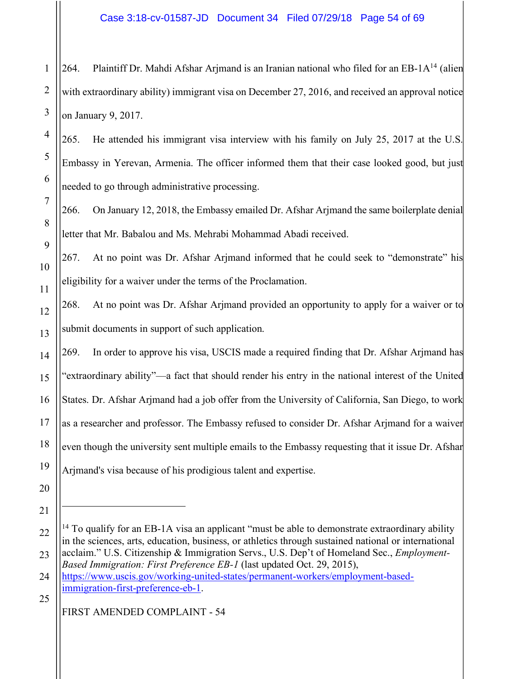1 264. Plaintiff Dr. Mahdi Afshar Arjmand is an Iranian national who filed for an EB-1A<sup>14</sup> (alien with extraordinary ability) immigrant visa on December 27, 2016, and received an approval notice on January 9, 2017.

265. He attended his immigrant visa interview with his family on July 25, 2017 at the U.S. Embassy in Yerevan, Armenia. The officer informed them that their case looked good, but just needed to go through administrative processing.

266. On January 12, 2018, the Embassy emailed Dr. Afshar Arjmand the same boilerplate denial letter that Mr. Babalou and Ms. Mehrabi Mohammad Abadi received.

267. At no point was Dr. Afshar Arjmand informed that he could seek to "demonstrate" his eligibility for a waiver under the terms of the Proclamation.

268. At no point was Dr. Afshar Arjmand provided an opportunity to apply for a waiver or to submit documents in support of such application.

269. In order to approve his visa, USCIS made a required finding that Dr. Afshar Arjmand has "extraordinary ability"—a fact that should render his entry in the national interest of the United States. Dr. Afshar Arjmand had a job offer from the University of California, San Diego, to work as a researcher and professor. The Embassy refused to consider Dr. Afshar Arjmand for a waiver even though the university sent multiple emails to the Embassy requesting that it issue Dr. Afshar Arjmand's visa because of his prodigious talent and expertise.

 $\overline{a}$ 

25 immigration-first-preference-eb-1.

 $14$  To qualify for an EB-1A visa an applicant "must be able to demonstrate extraordinary ability in the sciences, arts, education, business, or athletics through sustained national or international acclaim." U.S. Citizenship & Immigration Servs., U.S. Dep't of Homeland Sec., *Employment-*

*Based Immigration: First Preference EB-1* (last updated Oct. 29, 2015), https://www.uscis.gov/working-united-states/permanent-workers/employment-based-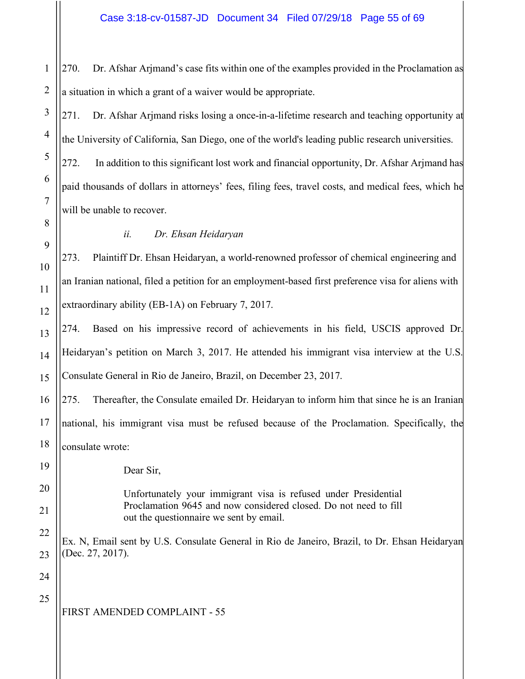270. Dr. Afshar Arjmand's case fits within one of the examples provided in the Proclamation as a situation in which a grant of a waiver would be appropriate.

271. Dr. Afshar Arjmand risks losing a once-in-a-lifetime research and teaching opportunity at the University of California, San Diego, one of the world's leading public research universities.

272. In addition to this significant lost work and financial opportunity, Dr. Afshar Arjmand has paid thousands of dollars in attorneys' fees, filing fees, travel costs, and medical fees, which he will be unable to recover.

# *ii. Dr. Ehsan Heidaryan*

273. Plaintiff Dr. Ehsan Heidaryan, a world-renowned professor of chemical engineering and an Iranian national, filed a petition for an employment-based first preference visa for aliens with extraordinary ability (EB-1A) on February 7, 2017.

274. Based on his impressive record of achievements in his field, USCIS approved Dr. Heidaryan's petition on March 3, 2017. He attended his immigrant visa interview at the U.S. Consulate General in Rio de Janeiro, Brazil, on December 23, 2017.

275. Thereafter, the Consulate emailed Dr. Heidaryan to inform him that since he is an Iranian national, his immigrant visa must be refused because of the Proclamation. Specifically, the consulate wrote:

Dear Sir,

#### Unfortunately your immigrant visa is refused under Presidential Proclamation 9645 and now considered closed. Do not need to fill out the questionnaire we sent by email.

Ex. N, Email sent by U.S. Consulate General in Rio de Janeiro, Brazil, to Dr. Ehsan Heidaryan (Dec. 27, 2017).

25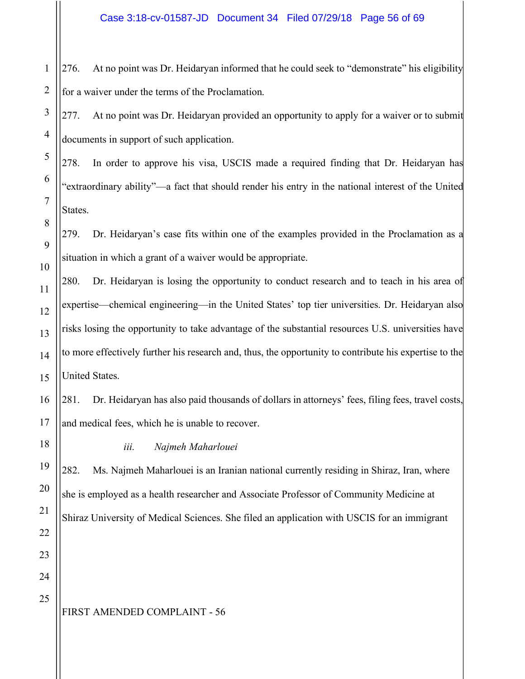1 276. At no point was Dr. Heidaryan informed that he could seek to "demonstrate" his eligibility for a waiver under the terms of the Proclamation.

277. At no point was Dr. Heidaryan provided an opportunity to apply for a waiver or to submit documents in support of such application.

278. In order to approve his visa, USCIS made a required finding that Dr. Heidaryan has "extraordinary ability"—a fact that should render his entry in the national interest of the United States.

279. Dr. Heidaryan's case fits within one of the examples provided in the Proclamation as a situation in which a grant of a waiver would be appropriate.

280. Dr. Heidaryan is losing the opportunity to conduct research and to teach in his area of expertise—chemical engineering—in the United States' top tier universities. Dr. Heidaryan also risks losing the opportunity to take advantage of the substantial resources U.S. universities have to more effectively further his research and, thus, the opportunity to contribute his expertise to the United States.

281. Dr. Heidaryan has also paid thousands of dollars in attorneys' fees, filing fees, travel costs, and medical fees, which he is unable to recover.

*iii. Najmeh Maharlouei*

282. Ms. Najmeh Maharlouei is an Iranian national currently residing in Shiraz, Iran, where she is employed as a health researcher and Associate Professor of Community Medicine at Shiraz University of Medical Sciences. She filed an application with USCIS for an immigrant

25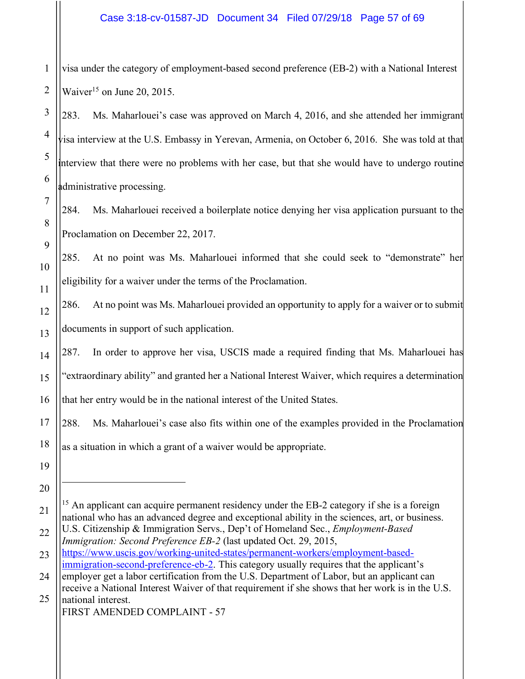1 visa under the category of employment-based second preference (EB-2) with a National Interest Waiver<sup>15</sup> on June 20, 2015.

283. Ms. Maharlouei's case was approved on March 4, 2016, and she attended her immigrant visa interview at the U.S. Embassy in Yerevan, Armenia, on October 6, 2016. She was told at that interview that there were no problems with her case, but that she would have to undergo routine administrative processing.

284. Ms. Maharlouei received a boilerplate notice denying her visa application pursuant to the Proclamation on December 22, 2017.

285. At no point was Ms. Maharlouei informed that she could seek to "demonstrate" her eligibility for a waiver under the terms of the Proclamation.

286. At no point was Ms. Maharlouei provided an opportunity to apply for a waiver or to submit documents in support of such application.

287. In order to approve her visa, USCIS made a required finding that Ms. Maharlouei has "extraordinary ability" and granted her a National Interest Waiver, which requires a determination that her entry would be in the national interest of the United States.

288. Ms. Maharlouei's case also fits within one of the examples provided in the Proclamation

as a situation in which a grant of a waiver would be appropriate.

<sup>&</sup>lt;sup>15</sup> An applicant can acquire permanent residency under the EB-2 category if she is a foreign national who has an advanced degree and exceptional ability in the sciences, art, or business.

U.S. Citizenship & Immigration Servs., Dep't of Homeland Sec., *Employment-Based Immigration: Second Preference EB-2* (last updated Oct. 29, 2015,

https://www.uscis.gov/working-united-states/permanent-workers/employment-basedimmigration-second-preference-eb-2. This category usually requires that the applicant's

<sup>24</sup> 25 employer get a labor certification from the U.S. Department of Labor, but an applicant can receive a National Interest Waiver of that requirement if she shows that her work is in the U.S. national interest.

FIRST AMENDED COMPLAINT - 57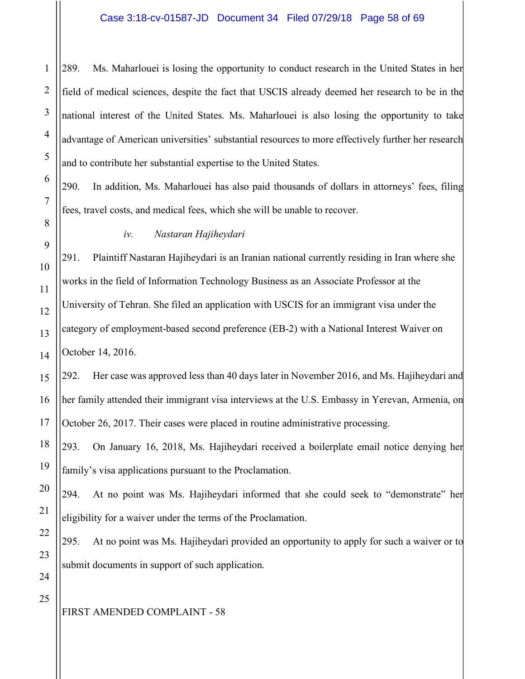289. Ms. Maharlouei is losing the opportunity to conduct research in the United States in her field of medical sciences, despite the fact that USCIS already deemed her research to be in the national interest of the United States. Ms. Maharlouei is also losing the opportunity to take advantage of American universities' substantial resources to more effectively further her research and to contribute her substantial expertise to the United States.

290. In addition, Ms. Maharlouei has also paid thousands of dollars in attorneys' fees, filing fees, travel costs, and medical fees, which she will be unable to recover.

#### *iv. Nastaran Hajiheydari*

291. Plaintiff Nastaran Hajiheydari is an Iranian national currently residing in Iran where she works in the field of Information Technology Business as an Associate Professor at the University of Tehran. She filed an application with USCIS for an immigrant visa under the category of employment-based second preference (EB-2) with a National Interest Waiver on October 14, 2016.

292. Her case was approved less than 40 days later in November 2016, and Ms. Hajiheydari and her family attended their immigrant visa interviews at the U.S. Embassy in Yerevan, Armenia, on October 26, 2017. Their cases were placed in routine administrative processing.

293. On January 16, 2018, Ms. Hajiheydari received a boilerplate email notice denying her family's visa applications pursuant to the Proclamation.

294. At no point was Ms. Hajiheydari informed that she could seek to "demonstrate" her eligibility for a waiver under the terms of the Proclamation.

295. At no point was Ms. Hajiheydari provided an opportunity to apply for such a waiver or to submit documents in support of such application.

1

2

3

4

5

6

7

8

9

10

11

12

13

# FIRST AMENDED COMPLAINT - 58

23 24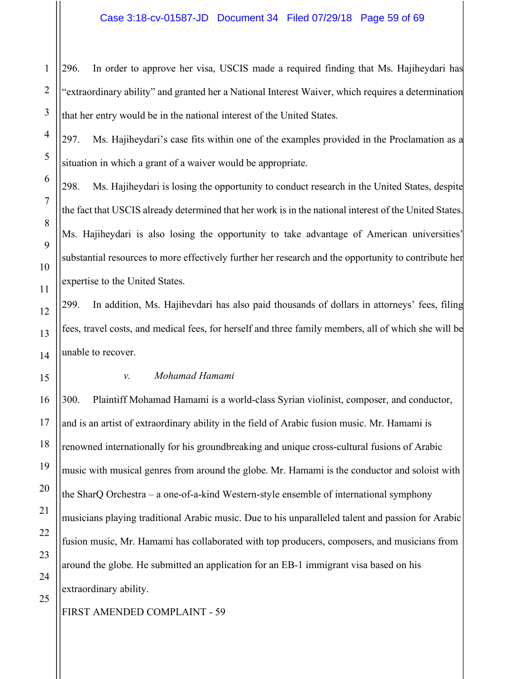296. In order to approve her visa, USCIS made a required finding that Ms. Hajiheydari has "extraordinary ability" and granted her a National Interest Waiver, which requires a determination that her entry would be in the national interest of the United States.

297. Ms. Hajiheydari's case fits within one of the examples provided in the Proclamation as a situation in which a grant of a waiver would be appropriate.

298. Ms. Hajiheydari is losing the opportunity to conduct research in the United States, despite the fact that USCIS already determined that her work is in the national interest of the United States. Ms. Hajiheydari is also losing the opportunity to take advantage of American universities' substantial resources to more effectively further her research and the opportunity to contribute her expertise to the United States.

299. In addition, Ms. Hajihevdari has also paid thousands of dollars in attorneys' fees, filing fees, travel costs, and medical fees, for herself and three family members, all of which she will be unable to recover.

#### *v. Mohamad Hamami*

300. Plaintiff Mohamad Hamami is a world-class Syrian violinist, composer, and conductor, and is an artist of extraordinary ability in the field of Arabic fusion music. Mr. Hamami is renowned internationally for his groundbreaking and unique cross-cultural fusions of Arabic music with musical genres from around the globe. Mr. Hamami is the conductor and soloist with the SharQ Orchestra – a one-of-a-kind Western-style ensemble of international symphony musicians playing traditional Arabic music. Due to his unparalleled talent and passion for Arabic fusion music, Mr. Hamami has collaborated with top producers, composers, and musicians from around the globe. He submitted an application for an EB-1 immigrant visa based on his extraordinary ability.

1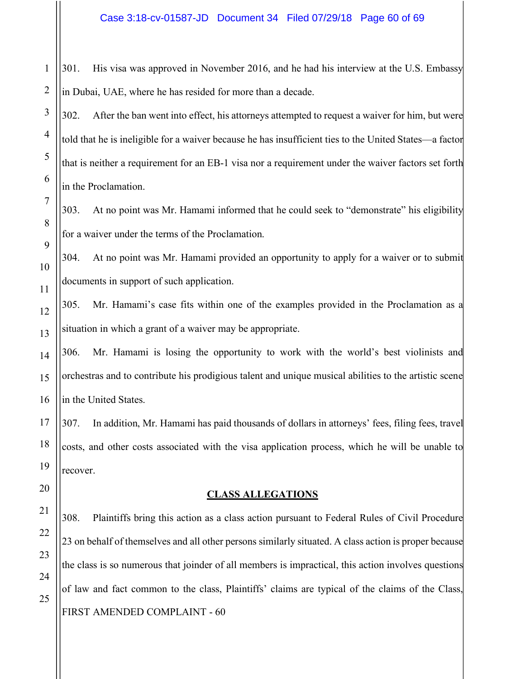1 301. His visa was approved in November 2016, and he had his interview at the U.S. Embassy in Dubai, UAE, where he has resided for more than a decade.

302. After the ban went into effect, his attorneys attempted to request a waiver for him, but were told that he is ineligible for a waiver because he has insufficient ties to the United States—a factor that is neither a requirement for an EB-1 visa nor a requirement under the waiver factors set forth in the Proclamation.

303. At no point was Mr. Hamami informed that he could seek to "demonstrate" his eligibility for a waiver under the terms of the Proclamation.

304. At no point was Mr. Hamami provided an opportunity to apply for a waiver or to submit documents in support of such application.

305. Mr. Hamami's case fits within one of the examples provided in the Proclamation as a situation in which a grant of a waiver may be appropriate.

306. Mr. Hamami is losing the opportunity to work with the world's best violinists and orchestras and to contribute his prodigious talent and unique musical abilities to the artistic scene in the United States.

307. In addition, Mr. Hamami has paid thousands of dollars in attorneys' fees, filing fees, travel costs, and other costs associated with the visa application process, which he will be unable to recover.

#### **CLASS ALLEGATIONS**

FIRST AMENDED COMPLAINT - 60 308. Plaintiffs bring this action as a class action pursuant to Federal Rules of Civil Procedure 23 on behalf of themselves and all other persons similarly situated. A class action is proper because the class is so numerous that joinder of all members is impractical, this action involves questions of law and fact common to the class, Plaintiffs' claims are typical of the claims of the Class,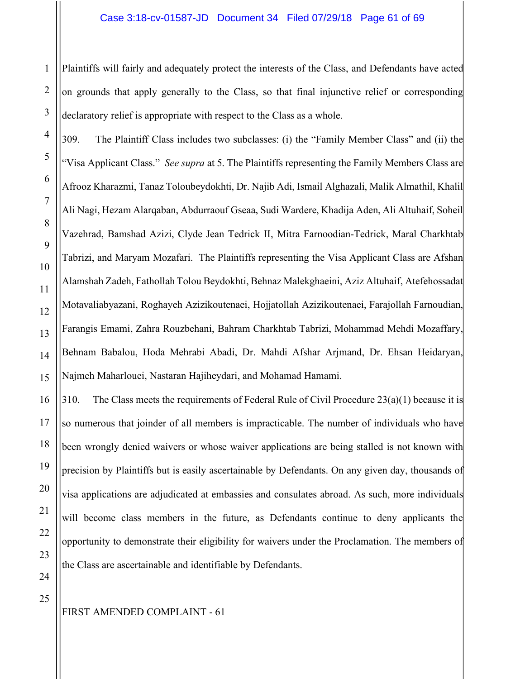Plaintiffs will fairly and adequately protect the interests of the Class, and Defendants have acted on grounds that apply generally to the Class, so that final injunctive relief or corresponding declaratory relief is appropriate with respect to the Class as a whole.

309. The Plaintiff Class includes two subclasses: (i) the "Family Member Class" and (ii) the "Visa Applicant Class." *See supra* at 5. The Plaintiffs representing the Family Members Class are Afrooz Kharazmi, Tanaz Toloubeydokhti, Dr. Najib Adi, Ismail Alghazali, Malik Almathil, Khalil Ali Nagi, Hezam Alarqaban, Abdurraouf Gseaa, Sudi Wardere, Khadija Aden, Ali Altuhaif, Soheil Vazehrad, Bamshad Azizi, Clyde Jean Tedrick II, Mitra Farnoodian-Tedrick, Maral Charkhtab Tabrizi, and Maryam Mozafari. The Plaintiffs representing the Visa Applicant Class are Afshan Alamshah Zadeh, Fathollah Tolou Beydokhti, Behnaz Malekghaeini, Aziz Altuhaif, Atefehossadat Motavaliabyazani, Roghayeh Azizikoutenaei, Hojjatollah Azizikoutenaei, Farajollah Farnoudian, Farangis Emami, Zahra Rouzbehani, Bahram Charkhtab Tabrizi, Mohammad Mehdi Mozaffary, Behnam Babalou, Hoda Mehrabi Abadi, Dr. Mahdi Afshar Arjmand, Dr. Ehsan Heidaryan, Najmeh Maharlouei, Nastaran Hajiheydari, and Mohamad Hamami.

310. The Class meets the requirements of Federal Rule of Civil Procedure  $23(a)(1)$  because it is so numerous that joinder of all members is impracticable. The number of individuals who have been wrongly denied waivers or whose waiver applications are being stalled is not known with precision by Plaintiffs but is easily ascertainable by Defendants. On any given day, thousands of visa applications are adjudicated at embassies and consulates abroad. As such, more individuals will become class members in the future, as Defendants continue to deny applicants the opportunity to demonstrate their eligibility for waivers under the Proclamation. The members of the Class are ascertainable and identifiable by Defendants.

1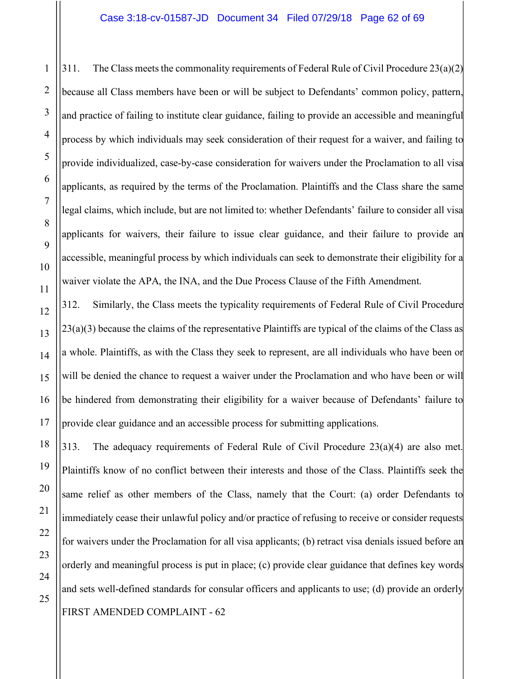311. The Class meets the commonality requirements of Federal Rule of Civil Procedure 23(a)(2) because all Class members have been or will be subject to Defendants' common policy, pattern, and practice of failing to institute clear guidance, failing to provide an accessible and meaningful process by which individuals may seek consideration of their request for a waiver, and failing to provide individualized, case-by-case consideration for waivers under the Proclamation to all visa applicants, as required by the terms of the Proclamation. Plaintiffs and the Class share the same legal claims, which include, but are not limited to: whether Defendants' failure to consider all visa applicants for waivers, their failure to issue clear guidance, and their failure to provide an accessible, meaningful process by which individuals can seek to demonstrate their eligibility for a waiver violate the APA, the INA, and the Due Process Clause of the Fifth Amendment.

312. Similarly, the Class meets the typicality requirements of Federal Rule of Civil Procedure  $23(a)(3)$  because the claims of the representative Plaintiffs are typical of the claims of the Class as a whole. Plaintiffs, as with the Class they seek to represent, are all individuals who have been or will be denied the chance to request a waiver under the Proclamation and who have been or will be hindered from demonstrating their eligibility for a waiver because of Defendants' failure to provide clear guidance and an accessible process for submitting applications.

FIRST AMENDED COMPLAINT - 62 313. The adequacy requirements of Federal Rule of Civil Procedure 23(a)(4) are also met. Plaintiffs know of no conflict between their interests and those of the Class. Plaintiffs seek the same relief as other members of the Class, namely that the Court: (a) order Defendants to immediately cease their unlawful policy and/or practice of refusing to receive or consider requests for waivers under the Proclamation for all visa applicants; (b) retract visa denials issued before an orderly and meaningful process is put in place; (c) provide clear guidance that defines key words and sets well-defined standards for consular officers and applicants to use; (d) provide an orderly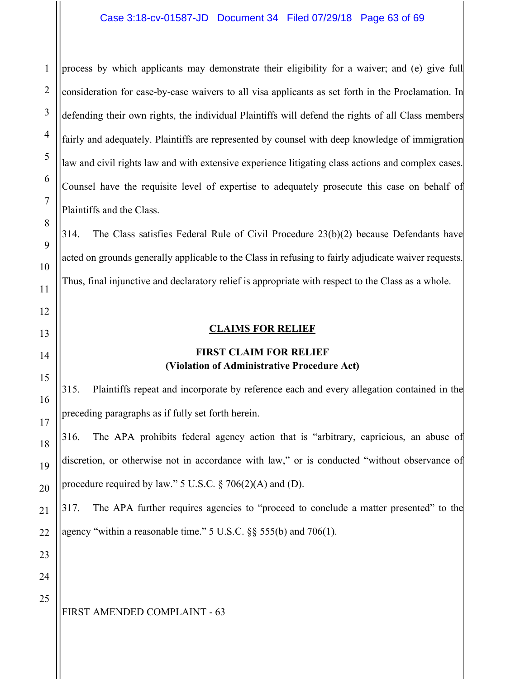process by which applicants may demonstrate their eligibility for a waiver; and (e) give full consideration for case-by-case waivers to all visa applicants as set forth in the Proclamation. In defending their own rights, the individual Plaintiffs will defend the rights of all Class members fairly and adequately. Plaintiffs are represented by counsel with deep knowledge of immigration law and civil rights law and with extensive experience litigating class actions and complex cases. Counsel have the requisite level of expertise to adequately prosecute this case on behalf of Plaintiffs and the Class.

314. The Class satisfies Federal Rule of Civil Procedure 23(b)(2) because Defendants have acted on grounds generally applicable to the Class in refusing to fairly adjudicate waiver requests. Thus, final injunctive and declaratory relief is appropriate with respect to the Class as a whole.

#### **CLAIMS FOR RELIEF**

## **FIRST CLAIM FOR RELIEF (Violation of Administrative Procedure Act)**

315. Plaintiffs repeat and incorporate by reference each and every allegation contained in the preceding paragraphs as if fully set forth herein.

316. The APA prohibits federal agency action that is "arbitrary, capricious, an abuse of discretion, or otherwise not in accordance with law," or is conducted "without observance of procedure required by law." 5 U.S.C.  $\S$  706(2)(A) and (D).

317. The APA further requires agencies to "proceed to conclude a matter presented" to the agency "within a reasonable time." 5 U.S.C. §§ 555(b) and 706(1).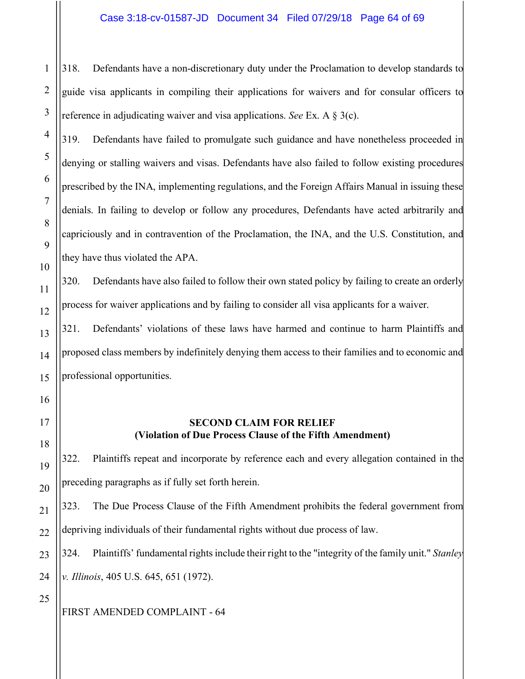318. Defendants have a non-discretionary duty under the Proclamation to develop standards to guide visa applicants in compiling their applications for waivers and for consular officers to reference in adjudicating waiver and visa applications. *See* Ex. A § 3(c).

319. Defendants have failed to promulgate such guidance and have nonetheless proceeded in denying or stalling waivers and visas. Defendants have also failed to follow existing procedures prescribed by the INA, implementing regulations, and the Foreign Affairs Manual in issuing these denials. In failing to develop or follow any procedures, Defendants have acted arbitrarily and capriciously and in contravention of the Proclamation, the INA, and the U.S. Constitution, and they have thus violated the APA.

320. Defendants have also failed to follow their own stated policy by failing to create an orderly process for waiver applications and by failing to consider all visa applicants for a waiver.

321. Defendants' violations of these laws have harmed and continue to harm Plaintiffs and proposed class members by indefinitely denying them access to their families and to economic and professional opportunities.

#### **SECOND CLAIM FOR RELIEF (Violation of Due Process Clause of the Fifth Amendment)**

322. Plaintiffs repeat and incorporate by reference each and every allegation contained in the preceding paragraphs as if fully set forth herein.

323. The Due Process Clause of the Fifth Amendment prohibits the federal government from depriving individuals of their fundamental rights without due process of law.

324. Plaintiffs' fundamental rights include their right to the "integrity of the family unit." *Stanley v. Illinois*, 405 U.S. 645, 651 (1972).

25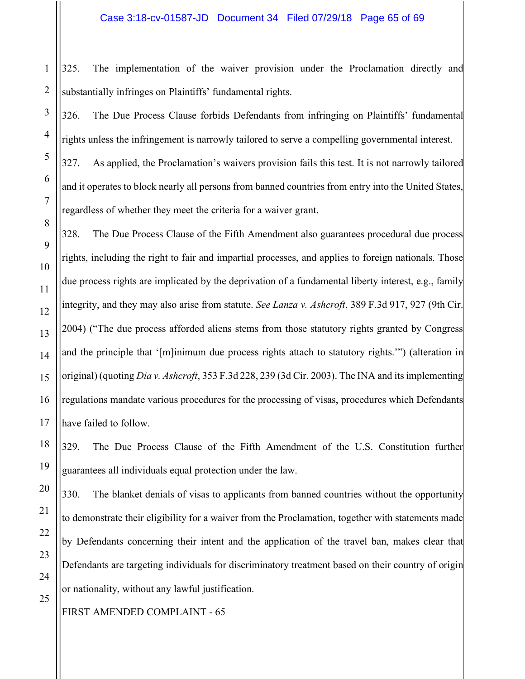325. The implementation of the waiver provision under the Proclamation directly and substantially infringes on Plaintiffs' fundamental rights.

326. The Due Process Clause forbids Defendants from infringing on Plaintiffs' fundamental rights unless the infringement is narrowly tailored to serve a compelling governmental interest.

327. As applied, the Proclamation's waivers provision fails this test. It is not narrowly tailored and it operates to block nearly all persons from banned countries from entry into the United States, regardless of whether they meet the criteria for a waiver grant.

328. The Due Process Clause of the Fifth Amendment also guarantees procedural due process rights, including the right to fair and impartial processes, and applies to foreign nationals. Those due process rights are implicated by the deprivation of a fundamental liberty interest, e.g., family integrity, and they may also arise from statute. *See Lanza v. Ashcroft*, 389 F.3d 917, 927 (9th Cir. 2004) ("The due process afforded aliens stems from those statutory rights granted by Congress and the principle that '[m]inimum due process rights attach to statutory rights.'") (alteration in original) (quoting *Dia v. Ashcroft*, 353 F.3d 228, 239 (3d Cir. 2003). The INA and its implementing regulations mandate various procedures for the processing of visas, procedures which Defendants have failed to follow.

329. The Due Process Clause of the Fifth Amendment of the U.S. Constitution further guarantees all individuals equal protection under the law.

330. The blanket denials of visas to applicants from banned countries without the opportunity to demonstrate their eligibility for a waiver from the Proclamation, together with statements made by Defendants concerning their intent and the application of the travel ban, makes clear that Defendants are targeting individuals for discriminatory treatment based on their country of origin or nationality, without any lawful justification.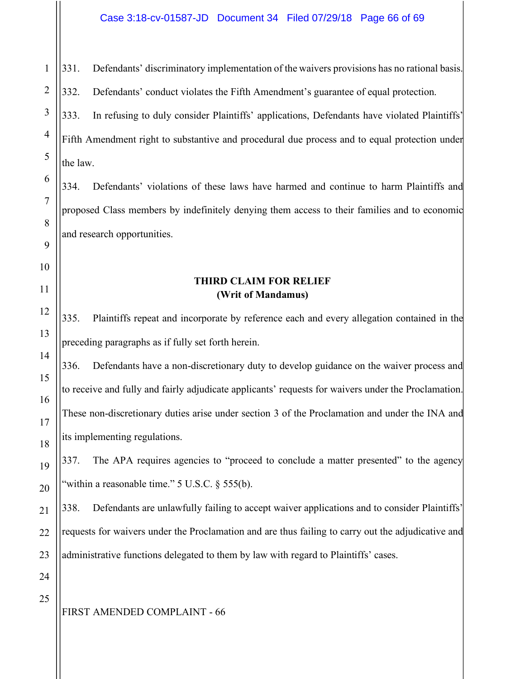1 2 3 4 5 6 7 8 9 10 11 12 13 14 15 16 17 18 19 20 21 22 23 24 25 331. Defendants' discriminatory implementation of the waivers provisions has no rational basis. 332. Defendants' conduct violates the Fifth Amendment's guarantee of equal protection. 333. In refusing to duly consider Plaintiffs' applications, Defendants have violated Plaintiffs' Fifth Amendment right to substantive and procedural due process and to equal protection under the law. 334. Defendants' violations of these laws have harmed and continue to harm Plaintiffs and proposed Class members by indefinitely denying them access to their families and to economic and research opportunities. **THIRD CLAIM FOR RELIEF (Writ of Mandamus)** 335. Plaintiffs repeat and incorporate by reference each and every allegation contained in the preceding paragraphs as if fully set forth herein. 336. Defendants have a non-discretionary duty to develop guidance on the waiver process and to receive and fully and fairly adjudicate applicants' requests for waivers under the Proclamation. These non-discretionary duties arise under section 3 of the Proclamation and under the INA and its implementing regulations. 337. The APA requires agencies to "proceed to conclude a matter presented" to the agency "within a reasonable time."  $5 \text{ U.S.C.}$   $\S$   $555(b)$ . 338. Defendants are unlawfully failing to accept waiver applications and to consider Plaintiffs' requests for waivers under the Proclamation and are thus failing to carry out the adjudicative and administrative functions delegated to them by law with regard to Plaintiffs' cases.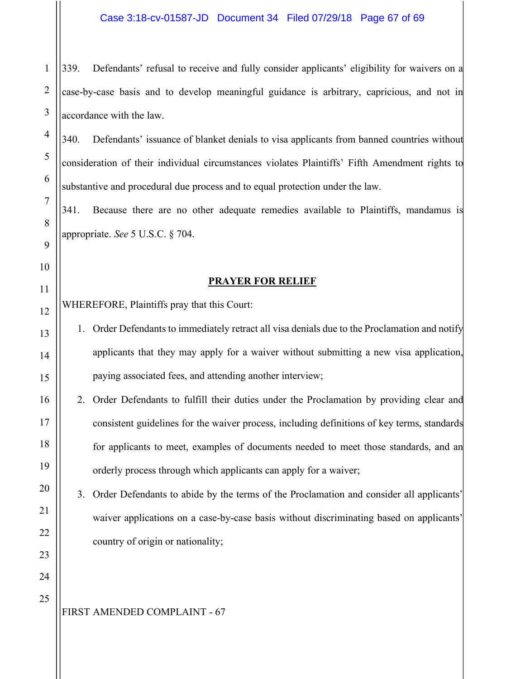1 339. Defendants' refusal to receive and fully consider applicants' eligibility for waivers on a case-by-case basis and to develop meaningful guidance is arbitrary, capricious, and not in accordance with the law.

340. Defendants' issuance of blanket denials to visa applicants from banned countries without consideration of their individual circumstances violates Plaintiffs' Fifth Amendment rights to substantive and procedural due process and to equal protection under the law.

341. Because there are no other adequate remedies available to Plaintiffs, mandamus is appropriate. *See* 5 U.S.C. § 704.

#### **PRAYER FOR RELIEF**

WHEREFORE, Plaintiffs pray that this Court:

- 1. Order Defendants to immediately retract all visa denials due to the Proclamation and notify applicants that they may apply for a waiver without submitting a new visa application, paying associated fees, and attending another interview;
- 2. Order Defendants to fulfill their duties under the Proclamation by providing clear and consistent guidelines for the waiver process, including definitions of key terms, standards for applicants to meet, examples of documents needed to meet those standards, and an orderly process through which applicants can apply for a waiver;

3. Order Defendants to abide by the terms of the Proclamation and consider all applicants' waiver applications on a case-by-case basis without discriminating based on applicants' country of origin or nationality;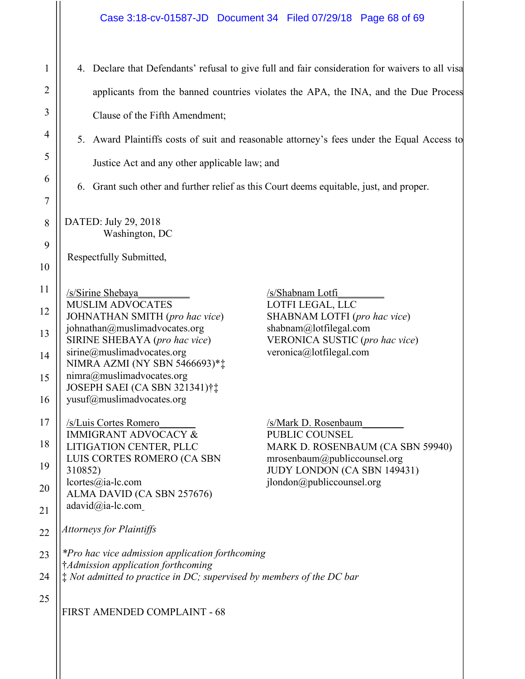| $\mathbf{1}$   | 4. Declare that Defendants' refusal to give full and fair consideration for waivers to all visa                                   |
|----------------|-----------------------------------------------------------------------------------------------------------------------------------|
| $\overline{2}$ | applicants from the banned countries violates the APA, the INA, and the Due Process                                               |
| 3              | Clause of the Fifth Amendment;                                                                                                    |
| 4              | 5. Award Plaintiffs costs of suit and reasonable attorney's fees under the Equal Access to                                        |
| 5              | Justice Act and any other applicable law; and                                                                                     |
| 6              | 6. Grant such other and further relief as this Court deems equitable, just, and proper.                                           |
| 7              |                                                                                                                                   |
| 8              | DATED: July 29, 2018<br>Washington, DC                                                                                            |
| 9              | Respectfully Submitted,                                                                                                           |
| 10             |                                                                                                                                   |
| 11             | /s/Sirine Shebaya<br>/s/Shabnam Lotfi<br><b>MUSLIM ADVOCATES</b><br>LOTFI LEGAL, LLC                                              |
| 12             | JOHNATHAN SMITH (pro hac vice)<br>SHABNAM LOTFI (pro hac vice)                                                                    |
| 13             | johnathan@muslimadvocates.org<br>shabnam@lotfilegal.com<br>SIRINE SHEBAYA (pro hac vice)<br><b>VERONICA SUSTIC</b> (pro hac vice) |
| 14             | sirine@muslimadvocates.org<br>veronica@lotfilegal.com<br>NIMRA AZMI (NY SBN 5466693)**                                            |
| 15             | nimra@muslimadvocates.org<br>JOSEPH SAEI (CA SBN 321341)†‡                                                                        |
| 16             | yusuf@muslimadvocates.org                                                                                                         |
| 17             | /s/Luis Cortes Romero<br>/s/Mark D. Rosenbaum<br><b>IMMIGRANT ADVOCACY &amp;</b><br>PUBLIC COUNSEL                                |
| 18             | LITIGATION CENTER, PLLC<br>MARK D. ROSENBAUM (CA SBN 59940)<br>LUIS CORTES ROMERO (CA SBN<br>mrosenbaum@public countsel.org       |
| 19             | JUDY LONDON (CA SBN 149431)<br>310852)<br>ilondon@publiccoursel.org<br>lcortes@ia-lc.com                                          |
| 20             | ALMA DAVID (CA SBN 257676)<br>adavid@ia-lc.com                                                                                    |
| 21             | <b>Attorneys for Plaintiffs</b>                                                                                                   |
| 22             |                                                                                                                                   |
| 23             | <i>*Pro hac vice admission application forthcoming</i><br>†Admission application forthcoming                                      |
| 24             | $\ddagger$ Not admitted to practice in DC; supervised by members of the DC bar                                                    |
| 25             | FIRST AMENDED COMPLAINT - 68                                                                                                      |